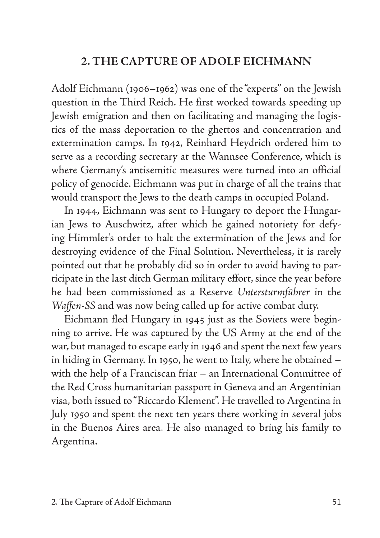# **2. THE CAPTURE OF ADOLF EICHMANN**

Adolf Eichmann (1906–1962) was one of the "experts" on the Jewish question in the Third Reich. He first worked towards speeding up Jewish emigration and then on facilitating and managing the logistics of the mass deportation to the ghettos and concentration and extermination camps. In 1942, Reinhard Heydrich ordered him to serve as a recording secretary at the Wannsee Conference, which is where Germany's antisemitic measures were turned into an official policy of genocide. Eichmann was put in charge of all the trains that would transport the Jews to the death camps in occupied Poland.

In 1944, Eichmann was sent to Hungary to deport the Hungarian Jews to Auschwitz, after which he gained notoriety for defying Himmler's order to halt the extermination of the Jews and for destroying evidence of the Final Solution. Nevertheless, it is rarely pointed out that he probably did so in order to avoid having to participate in the last ditch German military effort, since the year before he had been commissioned as a Reserve *Untersturmführer* in the *Waffen-SS* and was now being called up for active combat duty.

Eichmann fled Hungary in 1945 just as the Soviets were beginning to arrive. He was captured by the US Army at the end of the war, but managed to escape early in 1946 and spent the next few years in hiding in Germany. In 1950, he went to Italy, where he obtained – with the help of a Franciscan friar – an International Committee of the Red Cross humanitarian passport in Geneva and an Argentinian visa, both issued to "Riccardo Klement". He travelled to Argentina in July 1950 and spent the next ten years there working in several jobs in the Buenos Aires area. He also managed to bring his family to Argentina.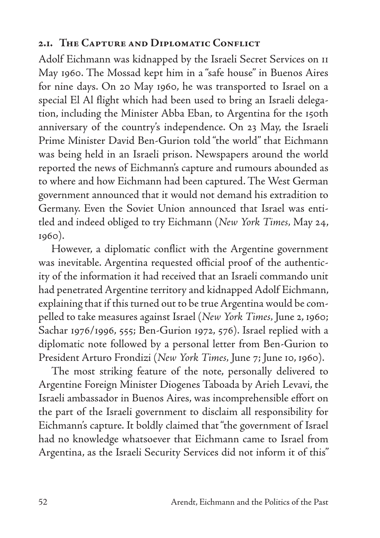### **2.1. The Capture and Diplomatic Conflict**

Adolf Eichmann was kidnapped by the Israeli Secret Services on 11 May 1960. The Mossad kept him in a "safe house" in Buenos Aires for nine days. On 20 May 1960, he was transported to Israel on a special El Al flight which had been used to bring an Israeli delegation, including the Minister Abba Eban, to Argentina for the 150th anniversary of the country's independence. On 23 May, the Israeli Prime Minister David Ben-Gurion told "the world" that Eichmann was being held in an Israeli prison. Newspapers around the world reported the news of Eichmann's capture and rumours abounded as to where and how Eichmann had been captured. The West German government announced that it would not demand his extradition to Germany. Even the Soviet Union announced that Israel was entitled and indeed obliged to try Eichmann (*New York Times,* May 24, 1960).

However, a diplomatic conflict with the Argentine government was inevitable. Argentina requested official proof of the authenticity of the information it had received that an Israeli commando unit had penetrated Argentine territory and kidnapped Adolf Eichmann, explaining that if this turned out to be true Argentina would be compelled to take measures against Israel (*New York Times,* June 2, 1960; Sachar 1976/1996, 555; Ben-Gurion 1972, 576). Israel replied with a diplomatic note followed by a personal letter from Ben-Gurion to President Arturo Frondizi (*New York Times,* June 7; June 10, 1960).

The most striking feature of the note, personally delivered to Argentine Foreign Minister Diogenes Taboada by Arieh Levavi, the Israeli ambassador in Buenos Aires, was incomprehensible effort on the part of the Israeli government to disclaim all responsibility for Eichmann's capture. It boldly claimed that "the government of Israel had no knowledge whatsoever that Eichmann came to Israel from Argentina, as the Israeli Security Services did not inform it of this"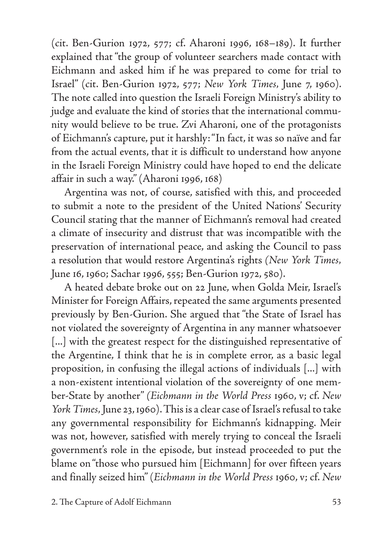(cit. Ben-Gurion 1972, 577; cf. Aharoni 1996, 168–189). It further explained that "the group of volunteer searchers made contact with Eichmann and asked him if he was prepared to come for trial to Israel" (cit. Ben-Gurion 1972, 577; *New York Times,* June 7, 1960). The note called into question the Israeli Foreign Ministry's ability to judge and evaluate the kind of stories that the international community would believe to be true. Zvi Aharoni, one of the protagonists of Eichmann's capture, put it harshly: "In fact, it was so naïve and far from the actual events, that it is difficult to understand how anyone in the Israeli Foreign Ministry could have hoped to end the delicate affair in such a way." (Aharoni 1996, 168)

Argentina was not, of course, satisfied with this, and proceeded to submit a note to the president of the United Nations' Security Council stating that the manner of Eichmann's removal had created a climate of insecurity and distrust that was incompatible with the preservation of international peace, and asking the Council to pass a resolution that would restore Argentina's rights *(New York Times,*  June 16, 1960; Sachar 1996, 555; Ben-Gurion 1972, 580).

A heated debate broke out on 22 June, when Golda Meir, Israel's Minister for Foreign Affairs, repeated the same arguments presented previously by Ben-Gurion. She argued that "the State of Israel has not violated the sovereignty of Argentina in any manner whatsoever [...] with the greatest respect for the distinguished representative of the Argentine, I think that he is in complete error, as a basic legal proposition, in confusing the illegal actions of individuals [...] with a non-existent intentional violation of the sovereignty of one member-State by another" *(Eichmann in the World Press* 1960, v; cf. *New York Times,* June 23, 1960). This is a clear case of Israel's refusal to take any governmental responsibility for Eichmann's kidnapping. Meir was not, however, satisfied with merely trying to conceal the Israeli government's role in the episode, but instead proceeded to put the blame on "those who pursued him [Eichmann] for over fifteen years and finally seized him" (*Eichmann in the World Press* 1960, v; cf. *New*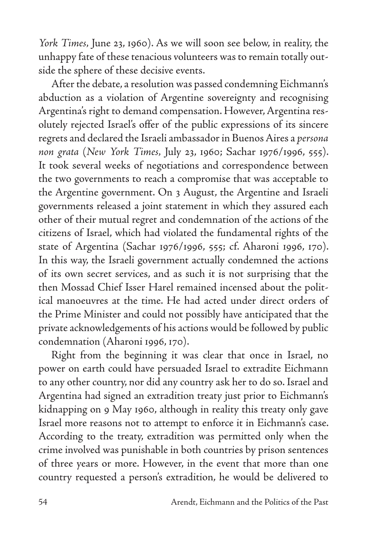*York Times,* June 23, 1960). As we will soon see below, in reality, the unhappy fate of these tenacious volunteers was to remain totally outside the sphere of these decisive events.

After the debate, a resolution was passed condemning Eichmann's abduction as a violation of Argentine sovereignty and recognising Argentina's right to demand compensation. However, Argentina resolutely rejected Israel's offer of the public expressions of its sincere regrets and declared the Israeli ambassador in Buenos Aires a *persona non grata* (*New York Times,* July 23, 1960; Sachar 1976/1996, 555). It took several weeks of negotiations and correspondence between the two governments to reach a compromise that was acceptable to the Argentine government. On 3 August, the Argentine and Israeli governments released a joint statement in which they assured each other of their mutual regret and condemnation of the actions of the citizens of Israel, which had violated the fundamental rights of the state of Argentina (Sachar 1976/1996, 555; cf. Aharoni 1996, 170). In this way, the Israeli government actually condemned the actions of its own secret services, and as such it is not surprising that the then Mossad Chief Isser Harel remained incensed about the political manoeuvres at the time. He had acted under direct orders of the Prime Minister and could not possibly have anticipated that the private acknowledgements of his actions would be followed by public condemnation (Aharoni 1996, 170).

Right from the beginning it was clear that once in Israel, no power on earth could have persuaded Israel to extradite Eichmann to any other country, nor did any country ask her to do so. Israel and Argentina had signed an extradition treaty just prior to Eichmann's kidnapping on 9 May 1960, although in reality this treaty only gave Israel more reasons not to attempt to enforce it in Eichmann's case. According to the treaty, extradition was permitted only when the crime involved was punishable in both countries by prison sentences of three years or more. However, in the event that more than one country requested a person's extradition, he would be delivered to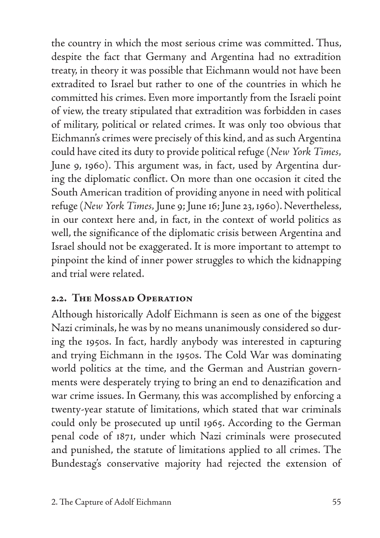the country in which the most serious crime was committed. Thus, despite the fact that Germany and Argentina had no extradition treaty, in theory it was possible that Eichmann would not have been extradited to Israel but rather to one of the countries in which he committed his crimes. Even more importantly from the Israeli point of view, the treaty stipulated that extradition was forbidden in cases of military, political or related crimes. It was only too obvious that Eichmann's crimes were precisely of this kind, and as such Argentina could have cited its duty to provide political refuge (*New York Times,* June 9, 1960). This argument was, in fact, used by Argentina during the diplomatic conflict. On more than one occasion it cited the South American tradition of providing anyone in need with political refuge (*New York Times,* June 9; June 16; June 23, 1960). Nevertheless, in our context here and, in fact, in the context of world politics as well, the significance of the diplomatic crisis between Argentina and Israel should not be exaggerated. It is more important to attempt to pinpoint the kind of inner power struggles to which the kidnapping and trial were related.

## **2.2. The Mossad Operation**

Although historically Adolf Eichmann is seen as one of the biggest Nazi criminals, he was by no means unanimously considered so during the 1950s. In fact, hardly anybody was interested in capturing and trying Eichmann in the 1950s. The Cold War was dominating world politics at the time, and the German and Austrian governments were desperately trying to bring an end to denazification and war crime issues. In Germany, this was accomplished by enforcing a twenty-year statute of limitations, which stated that war criminals could only be prosecuted up until 1965. According to the German penal code of 1871, under which Nazi criminals were prosecuted and punished, the statute of limitations applied to all crimes. The Bundestag's conservative majority had rejected the extension of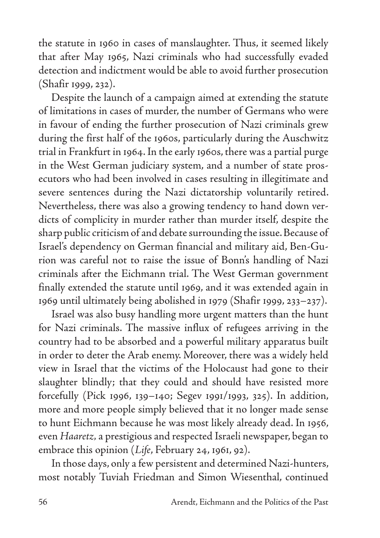the statute in 1960 in cases of manslaughter. Thus, it seemed likely that after May 1965, Nazi criminals who had successfully evaded detection and indictment would be able to avoid further prosecution (Shafir 1999, 232).

Despite the launch of a campaign aimed at extending the statute of limitations in cases of murder, the number of Germans who were in favour of ending the further prosecution of Nazi criminals grew during the first half of the 1960s, particularly during the Auschwitz trial in Frankfurt in 1964. In the early 1960s, there was a partial purge in the West German judiciary system, and a number of state prosecutors who had been involved in cases resulting in illegitimate and severe sentences during the Nazi dictatorship voluntarily retired. Nevertheless, there was also a growing tendency to hand down verdicts of complicity in murder rather than murder itself, despite the sharp public criticism of and debate surrounding the issue. Because of Israel's dependency on German financial and military aid, Ben-Gurion was careful not to raise the issue of Bonn's handling of Nazi criminals after the Eichmann trial. The West German government finally extended the statute until 1969, and it was extended again in 1969 until ultimately being abolished in 1979 (Shafir 1999, 233–237).

Israel was also busy handling more urgent matters than the hunt for Nazi criminals. The massive influx of refugees arriving in the country had to be absorbed and a powerful military apparatus built in order to deter the Arab enemy. Moreover, there was a widely held view in Israel that the victims of the Holocaust had gone to their slaughter blindly; that they could and should have resisted more forcefully (Pick 1996, 139–140; Segev 1991/1993, 325). In addition, more and more people simply believed that it no longer made sense to hunt Eichmann because he was most likely already dead. In 1956, even *Haaretz,* a prestigious and respected Israeli newspaper, began to embrace this opinion (*Life*, February 24, 1961, 92).

In those days, only a few persistent and determined Nazi-hunters, most notably Tuviah Friedman and Simon Wiesenthal, continued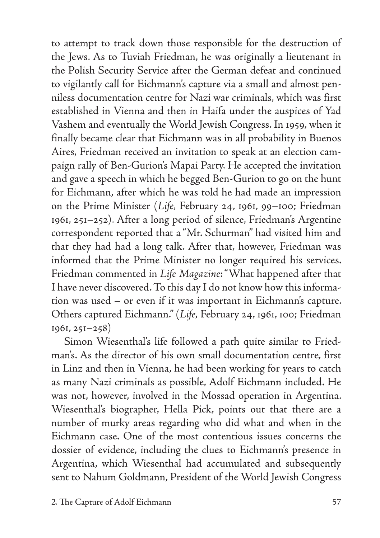to attempt to track down those responsible for the destruction of the Jews. As to Tuviah Friedman, he was originally a lieutenant in the Polish Security Service after the German defeat and continued to vigilantly call for Eichmann's capture via a small and almost penniless documentation centre for Nazi war criminals, which was first established in Vienna and then in Haifa under the auspices of Yad Vashem and eventually the World Jewish Congress. In 1959, when it finally became clear that Eichmann was in all probability in Buenos Aires, Friedman received an invitation to speak at an election campaign rally of Ben-Gurion's Mapai Party. He accepted the invitation and gave a speech in which he begged Ben-Gurion to go on the hunt for Eichmann, after which he was told he had made an impression on the Prime Minister (*Life,* February 24, 1961, 99–100; Friedman 1961, 251–252). After a long period of silence, Friedman's Argentine correspondent reported that a "Mr. Schurman" had visited him and that they had had a long talk. After that, however, Friedman was informed that the Prime Minister no longer required his services. Friedman commented in *Life Magazine*: "What happened after that I have never discovered. To this day I do not know how this information was used – or even if it was important in Eichmann's capture. Others captured Eichmann." (*Life,* February 24, 1961, 100; Friedman 1961, 251–258)

Simon Wiesenthal's life followed a path quite similar to Friedman's. As the director of his own small documentation centre, first in Linz and then in Vienna, he had been working for years to catch as many Nazi criminals as possible, Adolf Eichmann included. He was not, however, involved in the Mossad operation in Argentina. Wiesenthal's biographer, Hella Pick, points out that there are a number of murky areas regarding who did what and when in the Eichmann case. One of the most contentious issues concerns the dossier of evidence, including the clues to Eichmann's presence in Argentina, which Wiesenthal had accumulated and subsequently sent to Nahum Goldmann, President of the World Jewish Congress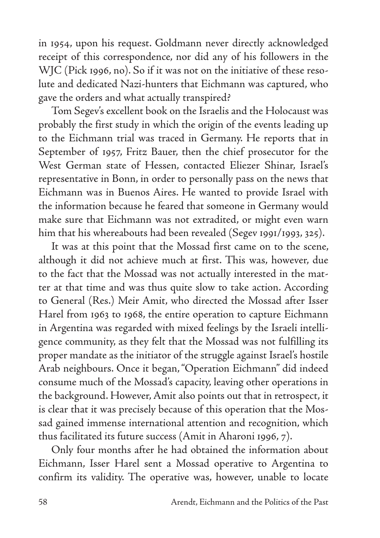in 1954, upon his request. Goldmann never directly acknowledged receipt of this correspondence, nor did any of his followers in the WJC (Pick 1996, no). So if it was not on the initiative of these resolute and dedicated Nazi-hunters that Eichmann was captured, who gave the orders and what actually transpired?

Tom Segev's excellent book on the Israelis and the Holocaust was probably the first study in which the origin of the events leading up to the Eichmann trial was traced in Germany. He reports that in September of 1957, Fritz Bauer, then the chief prosecutor for the West German state of Hessen, contacted Eliezer Shinar, Israel's representative in Bonn, in order to personally pass on the news that Eichmann was in Buenos Aires. He wanted to provide Israel with the information because he feared that someone in Germany would make sure that Eichmann was not extradited, or might even warn him that his whereabouts had been revealed (Segev 1991/1993, 325).

It was at this point that the Mossad first came on to the scene, although it did not achieve much at first. This was, however, due to the fact that the Mossad was not actually interested in the matter at that time and was thus quite slow to take action. According to General (Res.) Meir Amit, who directed the Mossad after Isser Harel from 1963 to 1968, the entire operation to capture Eichmann in Argentina was regarded with mixed feelings by the Israeli intelligence community, as they felt that the Mossad was not fulfilling its proper mandate as the initiator of the struggle against Israel's hostile Arab neighbours. Once it began, "Operation Eichmann'' did indeed consume much of the Mossad's capacity, leaving other operations in the background. However, Amit also points out that in retrospect, it is clear that it was precisely because of this operation that the Mossad gained immense international attention and recognition, which thus facilitated its future success (Amit in Aharoni 1996, 7).

Only four months after he had obtained the information about Eichmann, Isser Harel sent a Mossad operative to Argentina to confirm its validity. The operative was, however, unable to locate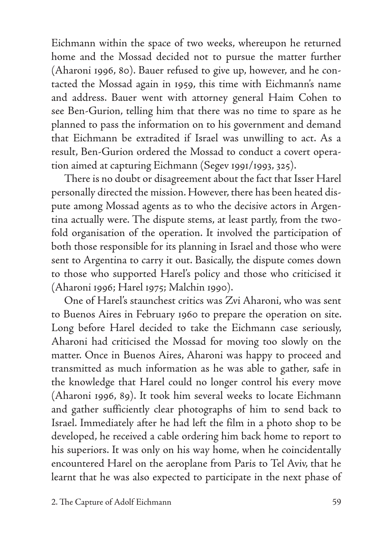Eichmann within the space of two weeks, whereupon he returned home and the Mossad decided not to pursue the matter further (Aharoni 1996, 80). Bauer refused to give up, however, and he contacted the Mossad again in 1959, this time with Eichmann's name and address. Bauer went with attorney general Haim Cohen to see Ben-Gurion, telling him that there was no time to spare as he planned to pass the information on to his government and demand that Eichmann be extradited if Israel was unwilling to act. As a result, Ben-Gurion ordered the Mossad to conduct a covert operation aimed at capturing Eichmann (Segev 1991/1993, 325).

There is no doubt or disagreement about the fact that Isser Harel personally directed the mission. However, there has been heated dispute among Mossad agents as to who the decisive actors in Argentina actually were. The dispute stems, at least partly, from the twofold organisation of the operation. It involved the participation of both those responsible for its planning in Israel and those who were sent to Argentina to carry it out. Basically, the dispute comes down to those who supported Harel's policy and those who criticised it (Aharoni 1996; Harel 1975; Malchin 1990).

One of Harel's staunchest critics was Zvi Aharoni, who was sent to Buenos Aires in February 1960 to prepare the operation on site. Long before Harel decided to take the Eichmann case seriously, Aharoni had criticised the Mossad for moving too slowly on the matter. Once in Buenos Aires, Aharoni was happy to proceed and transmitted as much information as he was able to gather, safe in the knowledge that Harel could no longer control his every move (Aharoni 1996, 89). It took him several weeks to locate Eichmann and gather sufficiently clear photographs of him to send back to Israel. Immediately after he had left the film in a photo shop to be developed, he received a cable ordering him back home to report to his superiors. It was only on his way home, when he coincidentally encountered Harel on the aeroplane from Paris to Tel Aviv, that he learnt that he was also expected to participate in the next phase of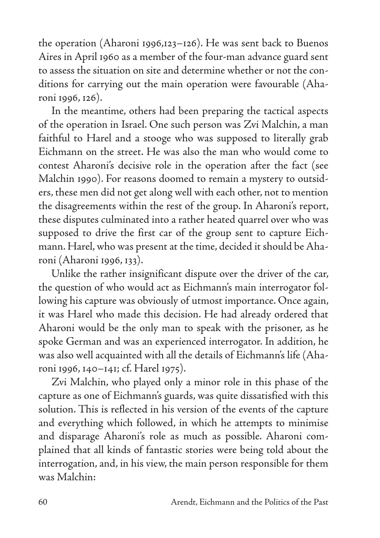the operation (Aharoni 1996,123–126). He was sent back to Buenos Aires in April 1960 as a member of the four-man advance guard sent to assess the situation on site and determine whether or not the conditions for carrying out the main operation were favourable (Aharoni 1996, 126).

In the meantime, others had been preparing the tactical aspects of the operation in Israel. One such person was Zvi Malchin, a man faithful to Harel and a stooge who was supposed to literally grab Eichmann on the street. He was also the man who would come to contest Aharoni's decisive role in the operation after the fact (see Malchin 1990). For reasons doomed to remain a mystery to outsiders, these men did not get along well with each other, not to mention the disagreements within the rest of the group. In Aharoni's report, these disputes culminated into a rather heated quarrel over who was supposed to drive the first car of the group sent to capture Eichmann. Harel, who was present at the time, decided it should be Aharoni (Aharoni 1996, 133).

Unlike the rather insignificant dispute over the driver of the car, the question of who would act as Eichmann's main interrogator following his capture was obviously of utmost importance. Once again, it was Harel who made this decision. He had already ordered that Aharoni would be the only man to speak with the prisoner, as he spoke German and was an experienced interrogator. In addition, he was also well acquainted with all the details of Eichmann's life (Aharoni 1996, 140–141; cf. Harel 1975).

Zvi Malchin, who played only a minor role in this phase of the capture as one of Eichmann's guards, was quite dissatisfied with this solution. This is reflected in his version of the events of the capture and everything which followed, in which he attempts to minimise and disparage Aharoni's role as much as possible. Aharoni complained that all kinds of fantastic stories were being told about the interrogation, and, in his view, the main person responsible for them was Malchin: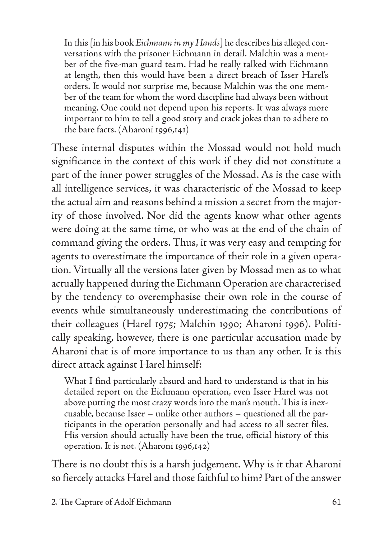In this [in his book *Eichmann in my Hands*] he describes his alleged conversations with the prisoner Eichmann in detail. Malchin was a member of the five-man guard team. Had he really talked with Eichmann at length, then this would have been a direct breach of Isser Harel's orders. It would not surprise me, because Malchin was the one member of the team for whom the word discipline had always been without meaning. One could not depend upon his reports. It was always more important to him to tell a good story and crack jokes than to adhere to the bare facts. (Aharoni 1996,141)

These internal disputes within the Mossad would not hold much significance in the context of this work if they did not constitute a part of the inner power struggles of the Mossad. As is the case with all intelligence services, it was characteristic of the Mossad to keep the actual aim and reasons behind a mission a secret from the majority of those involved. Nor did the agents know what other agents were doing at the same time, or who was at the end of the chain of command giving the orders. Thus, it was very easy and tempting for agents to overestimate the importance of their role in a given operation. Virtually all the versions later given by Mossad men as to what actually happened during the Eichmann Operation are characterised by the tendency to overemphasise their own role in the course of events while simultaneously underestimating the contributions of their colleagues (Harel 1975; Malchin 1990; Aharoni 1996). Politically speaking, however, there is one particular accusation made by Aharoni that is of more importance to us than any other. It is this direct attack against Harel himself:

What I find particularly absurd and hard to understand is that in his detailed report on the Eichmann operation, even Isser Harel was not above putting the most crazy words into the man's mouth. This is inexcusable, because Isser – unlike other authors – questioned all the participants in the operation personally and had access to all secret files. His version should actually have been the true, official history of this operation. It is not. (Aharoni 1996,142)

There is no doubt this is a harsh judgement. Why is it that Aharoni so fiercely attacks Harel and those faithful to him? Part of the answer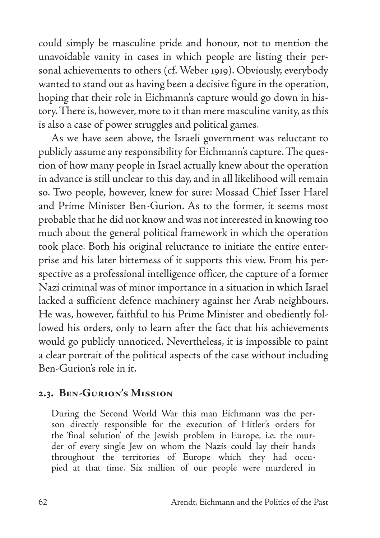could simply be masculine pride and honour, not to mention the unavoidable vanity in cases in which people are listing their personal achievements to others (cf. Weber 1919). Obviously, everybody wanted to stand out as having been a decisive figure in the operation, hoping that their role in Eichmann's capture would go down in history. There is, however, more to it than mere masculine vanity, as this is also a case of power struggles and political games.

As we have seen above, the Israeli government was reluctant to publicly assume any responsibility for Eichmann's capture. The question of how many people in Israel actually knew about the operation in advance is still unclear to this day, and in all likelihood will remain so. Two people, however, knew for sure: Mossad Chief Isser Harel and Prime Minister Ben-Gurion. As to the former, it seems most probable that he did not know and was not interested in knowing too much about the general political framework in which the operation took place. Both his original reluctance to initiate the entire enterprise and his later bitterness of it supports this view. From his perspective as a professional intelligence officer, the capture of a former Nazi criminal was of minor importance in a situation in which Israel lacked a sufficient defence machinery against her Arab neighbours. He was, however, faithful to his Prime Minister and obediently followed his orders, only to learn after the fact that his achievements would go publicly unnoticed. Nevertheless, it is impossible to paint a clear portrait of the political aspects of the case without including Ben-Gurion's role in it.

#### **2.3. Ben-Gurion's Mission**

During the Second World War this man Eichmann was the person directly responsible for the execution of Hitler's orders for the 'final solution' of the Jewish problem in Europe, i.e. the murder of every single Jew on whom the Nazis could lay their hands throughout the territories of Europe which they had occupied at that time. Six million of our people were murdered in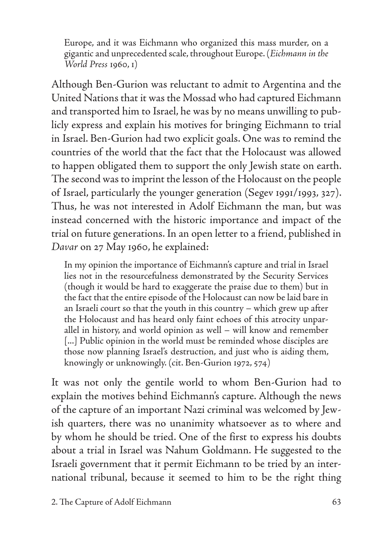Europe, and it was Eichmann who organized this mass murder, on a gigantic and unprecedented scale, throughout Europe. (*Eichmann in the World Press* 1960, 1)

Although Ben-Gurion was reluctant to admit to Argentina and the United Nations that it was the Mossad who had captured Eichmann and transported him to Israel, he was by no means unwilling to publicly express and explain his motives for bringing Eichmann to trial in Israel. Ben-Gurion had two explicit goals. One was to remind the countries of the world that the fact that the Holocaust was allowed to happen obligated them to support the only Jewish state on earth. The second was to imprint the lesson of the Holocaust on the people of Israel, particularly the younger generation (Segev 1991/1993, 327). Thus, he was not interested in Adolf Eichmann the man, but was instead concerned with the historic importance and impact of the trial on future generations. In an open letter to a friend, published in *Davar* on 27 May 1960, he explained:

In my opinion the importance of Eichmann's capture and trial in Israel lies not in the resourcefulness demonstrated by the Security Services (though it would be hard to exaggerate the praise due to them) but in the fact that the entire episode of the Holocaust can now be laid bare in an Israeli court so that the youth in this country – which grew up after the Holocaust and has heard only faint echoes of this atrocity unparallel in history, and world opinion as well – will know and remember [...] Public opinion in the world must be reminded whose disciples are those now planning Israel's destruction, and just who is aiding them, knowingly or unknowingly. (cit. Ben-Gurion 1972, 574)

It was not only the gentile world to whom Ben-Gurion had to explain the motives behind Eichmann's capture. Although the news of the capture of an important Nazi criminal was welcomed by Jewish quarters, there was no unanimity whatsoever as to where and by whom he should be tried. One of the first to express his doubts about a trial in Israel was Nahum Goldmann. He suggested to the Israeli government that it permit Eichmann to be tried by an international tribunal, because it seemed to him to be the right thing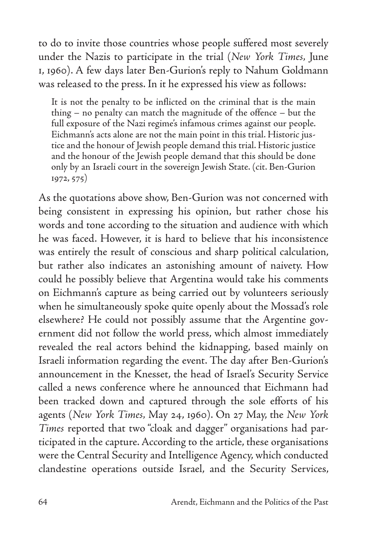to do to invite those countries whose people suffered most severely under the Nazis to participate in the trial (*New York Times,* June 1, 1960). A few days later Ben-Gurion's reply to Nahum Goldmann was released to the press. In it he expressed his view as follows:

It is not the penalty to be inflicted on the criminal that is the main thing – no penalty can match the magnitude of the offence – but the full exposure of the Nazi regime's infamous crimes against our people. Eichmann's acts alone are not the main point in this trial. Historic justice and the honour of Jewish people demand this trial. Historic justice and the honour of the Jewish people demand that this should be done only by an Israeli court in the sovereign Jewish State. (cit. Ben-Gurion 1972, 575)

As the quotations above show, Ben-Gurion was not concerned with being consistent in expressing his opinion, but rather chose his words and tone according to the situation and audience with which he was faced. However, it is hard to believe that his inconsistence was entirely the result of conscious and sharp political calculation, but rather also indicates an astonishing amount of naivety. How could he possibly believe that Argentina would take his comments on Eichmann's capture as being carried out by volunteers seriously when he simultaneously spoke quite openly about the Mossad's role elsewhere? He could not possibly assume that the Argentine government did not follow the world press, which almost immediately revealed the real actors behind the kidnapping, based mainly on Israeli information regarding the event. The day after Ben-Gurion's announcement in the Knesset, the head of Israel's Security Service called a news conference where he announced that Eichmann had been tracked down and captured through the sole efforts of his agents (*New York Times,* May 24, 1960). On 27 May, the *New York Times* reported that two "cloak and dagger" organisations had participated in the capture. According to the article, these organisations were the Central Security and Intelligence Agency, which conducted clandestine operations outside Israel, and the Security Services,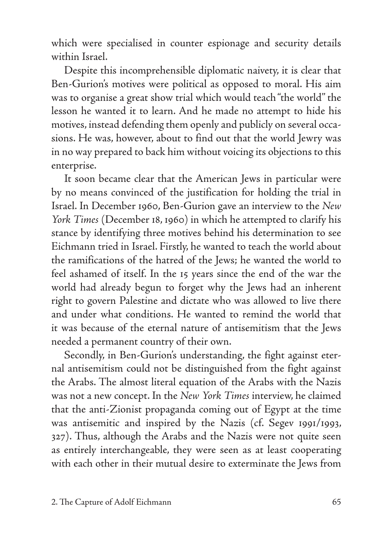which were specialised in counter espionage and security details within Israel.

Despite this incomprehensible diplomatic naivety, it is clear that Ben-Gurion's motives were political as opposed to moral. His aim was to organise a great show trial which would teach "the world'' the lesson he wanted it to learn. And he made no attempt to hide his motives, instead defending them openly and publicly on several occasions. He was, however, about to find out that the world Jewry was in no way prepared to back him without voicing its objections to this enterprise.

It soon became clear that the American Jews in particular were by no means convinced of the justification for holding the trial in Israel. In December 1960, Ben-Gurion gave an interview to the *New York Times* (December 18, 1960) in which he attempted to clarify his stance by identifying three motives behind his determination to see Eichmann tried in Israel. Firstly, he wanted to teach the world about the ramifications of the hatred of the Jews; he wanted the world to feel ashamed of itself. In the 15 years since the end of the war the world had already begun to forget why the Jews had an inherent right to govern Palestine and dictate who was allowed to live there and under what conditions. He wanted to remind the world that it was because of the eternal nature of antisemitism that the Jews needed a permanent country of their own.

Secondly, in Ben-Gurion's understanding, the fight against eternal antisemitism could not be distinguished from the fight against the Arabs. The almost literal equation of the Arabs with the Nazis was not a new concept. In the *New York Times* interview, he claimed that the anti-Zionist propaganda coming out of Egypt at the time was antisemitic and inspired by the Nazis (cf. Segev 1991/1993, 327). Thus, although the Arabs and the Nazis were not quite seen as entirely interchangeable, they were seen as at least cooperating with each other in their mutual desire to exterminate the Jews from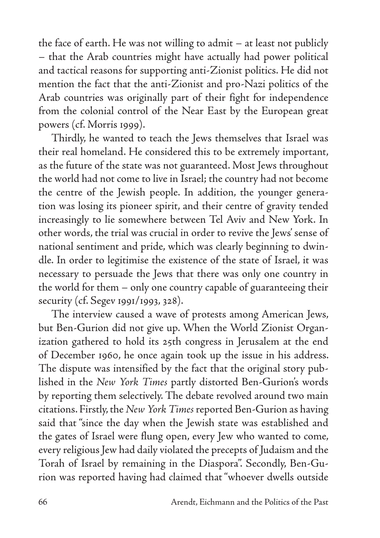the face of earth. He was not willing to admit – at least not publicly – that the Arab countries might have actually had power political and tactical reasons for supporting anti-Zionist politics. He did not mention the fact that the anti-Zionist and pro-Nazi politics of the Arab countries was originally part of their fight for independence from the colonial control of the Near East by the European great powers (cf. Morris 1999).

Thirdly, he wanted to teach the Jews themselves that Israel was their real homeland. He considered this to be extremely important, as the future of the state was not guaranteed. Most Jews throughout the world had not come to live in Israel; the country had not become the centre of the Jewish people. In addition, the younger generation was losing its pioneer spirit, and their centre of gravity tended increasingly to lie somewhere between Tel Aviv and New York. In other words, the trial was crucial in order to revive the Jews' sense of national sentiment and pride, which was clearly beginning to dwindle. In order to legitimise the existence of the state of Israel, it was necessary to persuade the Jews that there was only one country in the world for them – only one country capable of guaranteeing their security (cf. Segev 1991/1993, 328).

The interview caused a wave of protests among American Jews, but Ben-Gurion did not give up. When the World Zionist Organization gathered to hold its 25th congress in Jerusalem at the end of December 1960, he once again took up the issue in his address. The dispute was intensified by the fact that the original story published in the *New York Times* partly distorted Ben-Gurion's words by reporting them selectively. The debate revolved around two main citations. Firstly, the *New York Times* reported Ben-Gurion as having said that "since the day when the Jewish state was established and the gates of Israel were flung open, every Jew who wanted to come, every religious Jew had daily violated the precepts of Judaism and the Torah of Israel by remaining in the Diaspora". Secondly, Ben-Gurion was reported having had claimed that "whoever dwells outside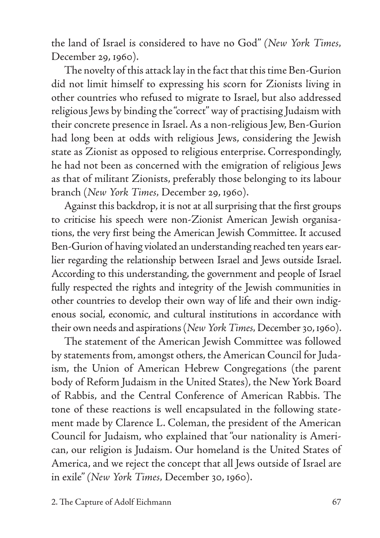the land of Israel is considered to have no God" *(New York Times,*  December 29, 1960).

The novelty of this attack lay in the fact that this time Ben-Gurion did not limit himself to expressing his scorn for Zionists living in other countries who refused to migrate to Israel, but also addressed religious Jews by binding the "correct" way of practising Judaism with their concrete presence in Israel. As a non-religious Jew, Ben-Gurion had long been at odds with religious Jews, considering the Jewish state as Zionist as opposed to religious enterprise. Correspondingly, he had not been as concerned with the emigration of religious Jews as that of militant Zionists, preferably those belonging to its labour branch (*New York Times,* December 29, 1960).

Against this backdrop, it is not at all surprising that the first groups to criticise his speech were non-Zionist American Jewish organisations, the very first being the American Jewish Committee. It accused Ben-Gurion of having violated an understanding reached ten years earlier regarding the relationship between Israel and Jews outside Israel. According to this understanding, the government and people of Israel fully respected the rights and integrity of the Jewish communities in other countries to develop their own way of life and their own indigenous social, economic, and cultural institutions in accordance with their own needs and aspirations (*New York Times,* December 30, 1960).

The statement of the American Jewish Committee was followed by statements from, amongst others, the American Council for Judaism, the Union of American Hebrew Congregations (the parent body of Reform Judaism in the United States), the New York Board of Rabbis, and the Central Conference of American Rabbis. The tone of these reactions is well encapsulated in the following statement made by Clarence L. Coleman, the president of the American Council for Judaism, who explained that "our nationality is American, our religion is Judaism. Our homeland is the United States of America, and we reject the concept that all Jews outside of Israel are in exile" *(New York Times,* December 30, 1960).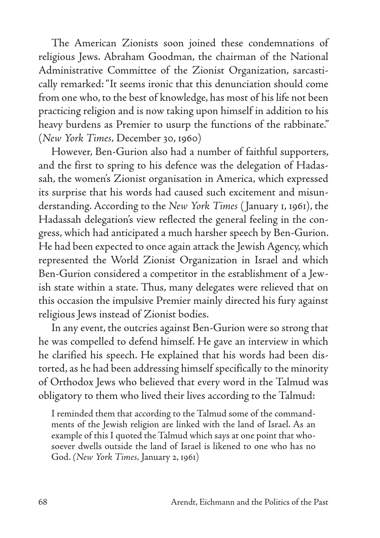The American Zionists soon joined these condemnations of religious Jews. Abraham Goodman, the chairman of the National Administrative Committee of the Zionist Organization, sarcastically remarked: "It seems ironic that this denunciation should come from one who, to the best of knowledge, has most of his life not been practicing religion and is now taking upon himself in addition to his heavy burdens as Premier to usurp the functions of the rabbinate." (*New York Times,* December 30, 1960)

However, Ben-Gurion also had a number of faithful supporters, and the first to spring to his defence was the delegation of Hadassah, the women's Zionist organisation in America, which expressed its surprise that his words had caused such excitement and misunderstanding. According to the *New York Times* ( January 1, 1961), the Hadassah delegation's view reflected the general feeling in the congress, which had anticipated a much harsher speech by Ben-Gurion. He had been expected to once again attack the Jewish Agency, which represented the World Zionist Organization in Israel and which Ben-Gurion considered a competitor in the establishment of a Jewish state within a state. Thus, many delegates were relieved that on this occasion the impulsive Premier mainly directed his fury against religious Jews instead of Zionist bodies.

In any event, the outcries against Ben-Gurion were so strong that he was compelled to defend himself. He gave an interview in which he clarified his speech. He explained that his words had been distorted, as he had been addressing himself specifically to the minority of Orthodox Jews who believed that every word in the Talmud was obligatory to them who lived their lives according to the Talmud:

I reminded them that according to the Talmud some of the commandments of the Jewish religion are linked with the land of Israel. As an example of this I quoted the Talmud which says at one point that whosoever dwells outside the land of Israel is likened to one who has no God. *(New York Times,* January 2, 1961)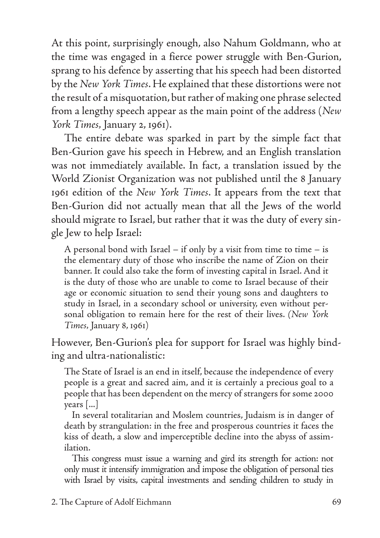At this point, surprisingly enough, also Nahum Goldmann, who at the time was engaged in a fierce power struggle with Ben-Gurion, sprang to his defence by asserting that his speech had been distorted by the *New York Times*. He explained that these distortions were not the result of a misquotation, but rather of making one phrase selected from a lengthy speech appear as the main point of the address (*New York Times,* January 2, 1961).

The entire debate was sparked in part by the simple fact that Ben-Gurion gave his speech in Hebrew, and an English translation was not immediately available. In fact, a translation issued by the World Zionist Organization was not published until the 8 January 1961 edition of the *New York Times*. It appears from the text that Ben-Gurion did not actually mean that all the Jews of the world should migrate to Israel, but rather that it was the duty of every single Jew to help Israel:

A personal bond with Israel – if only by a visit from time to time – is the elementary duty of those who inscribe the name of Zion on their banner. It could also take the form of investing capital in Israel. And it is the duty of those who are unable to come to Israel because of their age or economic situation to send their young sons and daughters to study in Israel, in a secondary school or university, even without personal obligation to remain here for the rest of their lives. *(New York Times,* January 8, 1961)

However, Ben-Gurion's plea for support for Israel was highly binding and ultra-nationalistic:

The State of Israel is an end in itself, because the independence of every people is a great and sacred aim, and it is certainly a precious goal to a people that has been dependent on the mercy of strangers for some 2000 years [...]

In several totalitarian and Moslem countries, Judaism is in danger of death by strangulation: in the free and prosperous countries it faces the kiss of death, a slow and imperceptible decline into the abyss of assimilation.

This congress must issue a warning and gird its strength for action: not only must it intensify immigration and impose the obligation of personal ties with Israel by visits, capital investments and sending children to study in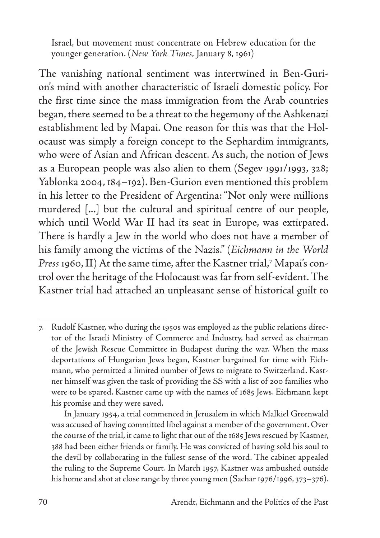Israel, but movement must concentrate on Hebrew education for the younger generation. (*New York Times,* January 8, 1961)

The vanishing national sentiment was intertwined in Ben-Gurion's mind with another characteristic of Israeli domestic policy. For the first time since the mass immigration from the Arab countries began, there seemed to be a threat to the hegemony of the Ashkenazi establishment led by Mapai. One reason for this was that the Holocaust was simply a foreign concept to the Sephardim immigrants, who were of Asian and African descent. As such, the notion of Jews as a European people was also alien to them (Segev 1991/1993, 328; Yablonka 2004, 184–192). Ben-Gurion even mentioned this problem in his letter to the President of Argentina: "Not only were millions murdered [...] but the cultural and spiritual centre of our people, which until World War II had its seat in Europe, was extirpated. There is hardly a Jew in the world who does not have a member of his family among the victims of the Nazis." (*Eichmann in the World Press* 1960, II) At the same time, after the Kastner trial,7 Mapai's control over the heritage of the Holocaust was far from self-evident. The Kastner trial had attached an unpleasant sense of historical guilt to

<sup>7.</sup> Rudolf Kastner, who during the 1950s was employed as the public relations director of the Israeli Ministry of Commerce and Industry, had served as chairman of the Jewish Rescue Committee in Budapest during the war. When the mass deportations of Hungarian Jews began, Kastner bargained for time with Eichmann, who permitted a limited number of Jews to migrate to Switzerland. Kastner himself was given the task of providing the SS with a list of 200 families who were to be spared. Kastner came up with the names of 1685 Jews. Eichmann kept his promise and they were saved.

In January 1954, a trial commenced in Jerusalem in which Malkiel Greenwald was accused of having committed libel against a member of the government. Over the course of the trial, it came to light that out of the 1685 Jews rescued by Kastner, 388 had been either friends or family. He was convicted of having sold his soul to the devil by collaborating in the fullest sense of the word. The cabinet appealed the ruling to the Supreme Court. In March 1957, Kastner was ambushed outside his home and shot at close range by three young men (Sachar 1976/1996, 373–376).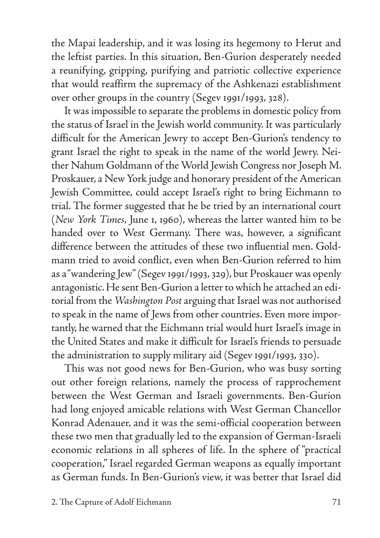the Mapai leadership, and it was losing its hegemony to Herut and the leftist parties. In this situation, Ben-Gurion desperately needed a reunifying, gripping, purifying and patriotic collective experience that would reaffirm the supremacy of the Ashkenazi establishment over other groups in the country (Segev 1991/1993, 328).

It was impossible to separate the problems in domestic policy from the status of Israel in the Jewish world community. It was particularly difficult for the American Jewry to accept Ben-Gurion's tendency to grant Israel the right to speak in the name of the world Jewry. Neither Nahum Goldmann of the World Jewish Congress nor Joseph M. Proskauer, a New York judge and honorary president of the American Jewish Committee, could accept Israel's right to bring Eichmann to trial. The former suggested that he be tried by an international court (*New York Times,* June 1, 1960), whereas the latter wanted him to be handed over to West Germany. There was, however, a significant difference between the attitudes of these two influential men. Goldmann tried to avoid conflict, even when Ben-Gurion referred to him as a "wandering Jew" (Segev 1991/1993, 329), but Proskauer was openly antagonistic. He sent Ben-Gurion a letter to which he attached an editorial from the *Washington Post* arguing that Israel was not authorised to speak in the name of Jews from other countries. Even more importantly, he warned that the Eichmann trial would hurt Israel's image in the United States and make it difficult for Israel's friends to persuade the administration to supply military aid (Segev 1991/1993, 330).

This was not good news for Ben-Gurion, who was busy sorting out other foreign relations, namely the process of rapprochement between the West German and Israeli governments. Ben-Gurion had long enjoyed amicable relations with West German Chancellor Konrad Adenauer, and it was the semi-official cooperation between these two men that gradually led to the expansion of German-Israeli economic relations in all spheres of life. In the sphere of "practical cooperation," Israel regarded German weapons as equally important as German funds. In Ben-Gurion's view, it was better that Israel did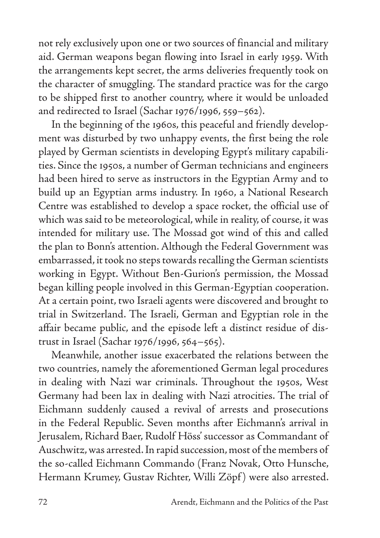not rely exclusively upon one or two sources of financial and military aid. German weapons began flowing into Israel in early 1959. With the arrangements kept secret, the arms deliveries frequently took on the character of smuggling. The standard practice was for the cargo to be shipped first to another country, where it would be unloaded and redirected to Israel (Sachar 1976/1996, 559–562).

In the beginning of the 1960s, this peaceful and friendly development was disturbed by two unhappy events, the first being the role played by German scientists in developing Egypt's military capabilities. Since the 1950s, a number of German technicians and engineers had been hired to serve as instructors in the Egyptian Army and to build up an Egyptian arms industry. In 1960, a National Research Centre was established to develop a space rocket, the official use of which was said to be meteorological, while in reality, of course, it was intended for military use. The Mossad got wind of this and called the plan to Bonn's attention. Although the Federal Government was embarrassed, it took no steps towards recalling the German scientists working in Egypt. Without Ben-Gurion's permission, the Mossad began killing people involved in this German-Egyptian cooperation. At a certain point, two Israeli agents were discovered and brought to trial in Switzerland. The Israeli, German and Egyptian role in the affair became public, and the episode left a distinct residue of distrust in Israel (Sachar 1976/1996, 564–565).

Meanwhile, another issue exacerbated the relations between the two countries, namely the aforementioned German legal procedures in dealing with Nazi war criminals. Throughout the 1950s, West Germany had been lax in dealing with Nazi atrocities. The trial of Eichmann suddenly caused a revival of arrests and prosecutions in the Federal Republic. Seven months after Eichmann's arrival in Jerusalem, Richard Baer, Rudolf Höss' successor as Commandant of Auschwitz, was arrested. In rapid succession, most of the members of the so-called Eichmann Commando (Franz Novak, Otto Hunsche, Hermann Krumey, Gustav Richter, Willi Zöpf ) were also arrested.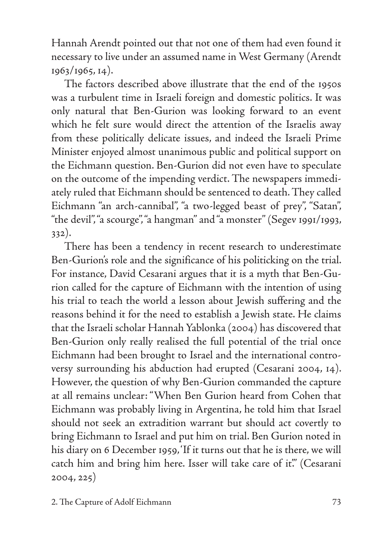Hannah Arendt pointed out that not one of them had even found it necessary to live under an assumed name in West Germany (Arendt 1963/1965, 14).

The factors described above illustrate that the end of the 1950s was a turbulent time in Israeli foreign and domestic politics. It was only natural that Ben-Gurion was looking forward to an event which he felt sure would direct the attention of the Israelis away from these politically delicate issues, and indeed the Israeli Prime Minister enjoyed almost unanimous public and political support on the Eichmann question. Ben-Gurion did not even have to speculate on the outcome of the impending verdict. The newspapers immediately ruled that Eichmann should be sentenced to death. They called Eichmann "an arch-cannibal", "a two-legged beast of prey", "Satan", "the devil", "a scourge", "a hangman" and "a monster" (Segev 1991/1993, 332).

There has been a tendency in recent research to underestimate Ben-Gurion's role and the significance of his politicking on the trial. For instance, David Cesarani argues that it is a myth that Ben-Gurion called for the capture of Eichmann with the intention of using his trial to teach the world a lesson about Jewish suffering and the reasons behind it for the need to establish a Jewish state. He claims that the Israeli scholar Hannah Yablonka (2004) has discovered that Ben-Gurion only really realised the full potential of the trial once Eichmann had been brought to Israel and the international controversy surrounding his abduction had erupted (Cesarani 2004, 14). However, the question of why Ben-Gurion commanded the capture at all remains unclear: "When Ben Gurion heard from Cohen that Eichmann was probably living in Argentina, he told him that Israel should not seek an extradition warrant but should act covertly to bring Eichmann to Israel and put him on trial. Ben Gurion noted in his diary on 6 December 1959, 'If it turns out that he is there, we will catch him and bring him here. Isser will take care of it." (Cesarani 2004, 225)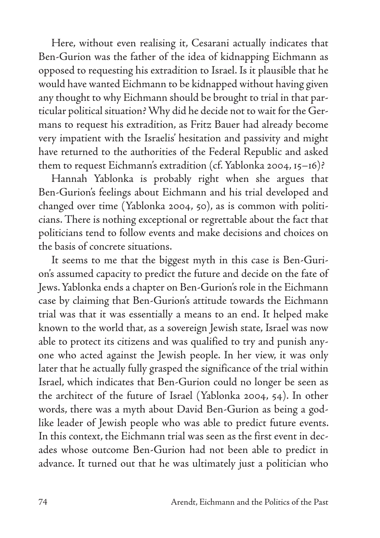Here, without even realising it, Cesarani actually indicates that Ben-Gurion was the father of the idea of kidnapping Eichmann as opposed to requesting his extradition to Israel. Is it plausible that he would have wanted Eichmann to be kidnapped without having given any thought to why Eichmann should be brought to trial in that particular political situation? Why did he decide not to wait for the Germans to request his extradition, as Fritz Bauer had already become very impatient with the Israelis' hesitation and passivity and might have returned to the authorities of the Federal Republic and asked them to request Eichmann's extradition (cf. Yablonka 2004, 15–16)?

Hannah Yablonka is probably right when she argues that Ben-Gurion's feelings about Eichmann and his trial developed and changed over time (Yablonka 2004, 50), as is common with politicians. There is nothing exceptional or regrettable about the fact that politicians tend to follow events and make decisions and choices on the basis of concrete situations.

It seems to me that the biggest myth in this case is Ben-Gurion's assumed capacity to predict the future and decide on the fate of Jews. Yablonka ends a chapter on Ben-Gurion's role in the Eichmann case by claiming that Ben-Gurion's attitude towards the Eichmann trial was that it was essentially a means to an end. It helped make known to the world that, as a sovereign Jewish state, Israel was now able to protect its citizens and was qualified to try and punish anyone who acted against the Jewish people. In her view, it was only later that he actually fully grasped the significance of the trial within Israel, which indicates that Ben-Gurion could no longer be seen as the architect of the future of Israel (Yablonka 2004, 54). In other words, there was a myth about David Ben-Gurion as being a godlike leader of Jewish people who was able to predict future events. In this context, the Eichmann trial was seen as the first event in decades whose outcome Ben-Gurion had not been able to predict in advance. It turned out that he was ultimately just a politician who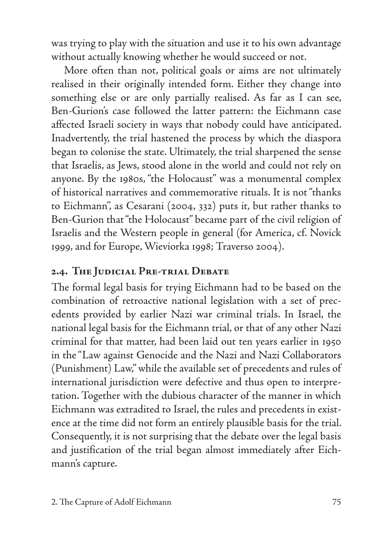was trying to play with the situation and use it to his own advantage without actually knowing whether he would succeed or not.

More often than not, political goals or aims are not ultimately realised in their originally intended form. Either they change into something else or are only partially realised. As far as I can see, Ben-Gurion's case followed the latter pattern: the Eichmann case affected Israeli society in ways that nobody could have anticipated. Inadvertently, the trial hastened the process by which the diaspora began to colonise the state. Ultimately, the trial sharpened the sense that Israelis, as Jews, stood alone in the world and could not rely on anyone. By the 1980s, "the Holocaust" was a monumental complex of historical narratives and commemorative rituals. It is not "thanks to Eichmann", as Cesarani (2004, 332) puts it, but rather thanks to Ben-Gurion that "the Holocaust" became part of the civil religion of Israelis and the Western people in general (for America, cf. Novick 1999, and for Europe, Wieviorka 1998; Traverso 2004).

### **2.4. The Judicial Pre-trial Debate**

The formal legal basis for trying Eichmann had to be based on the combination of retroactive national legislation with a set of precedents provided by earlier Nazi war criminal trials. In Israel, the national legal basis for the Eichmann trial, or that of any other Nazi criminal for that matter, had been laid out ten years earlier in 1950 in the "Law against Genocide and the Nazi and Nazi Collaborators (Punishment) Law," while the available set of precedents and rules of international jurisdiction were defective and thus open to interpretation. Together with the dubious character of the manner in which Eichmann was extradited to Israel, the rules and precedents in existence at the time did not form an entirely plausible basis for the trial. Consequently, it is not surprising that the debate over the legal basis and justification of the trial began almost immediately after Eichmann's capture.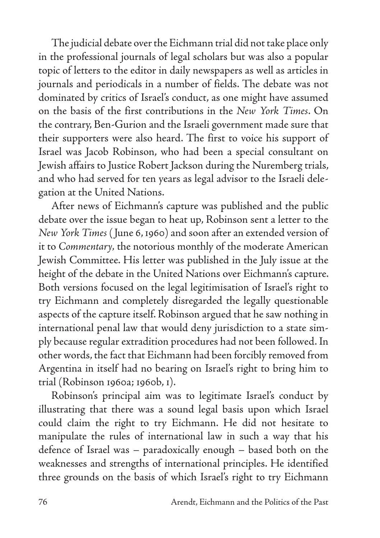The judicial debate over the Eichmann trial did not take place only in the professional journals of legal scholars but was also a popular topic of letters to the editor in daily newspapers as well as articles in journals and periodicals in a number of fields. The debate was not dominated by critics of Israel's conduct, as one might have assumed on the basis of the first contributions in the *New York Times*. On the contrary, Ben-Gurion and the Israeli government made sure that their supporters were also heard. The first to voice his support of Israel was Jacob Robinson, who had been a special consultant on Jewish affairs to Justice Robert Jackson during the Nuremberg trials, and who had served for ten years as legal advisor to the Israeli delegation at the United Nations.

After news of Eichmann's capture was published and the public debate over the issue began to heat up, Robinson sent a letter to the *New York Times* ( June 6, 1960) and soon after an extended version of it to *Commentary,* the notorious monthly of the moderate American Jewish Committee. His letter was published in the July issue at the height of the debate in the United Nations over Eichmann's capture. Both versions focused on the legal legitimisation of Israel's right to try Eichmann and completely disregarded the legally questionable aspects of the capture itself. Robinson argued that he saw nothing in international penal law that would deny jurisdiction to a state simply because regular extradition procedures had not been followed. In other words, the fact that Eichmann had been forcibly removed from Argentina in itself had no bearing on Israel's right to bring him to trial (Robinson 1960a; 1960b, 1).

Robinson's principal aim was to legitimate Israel's conduct by illustrating that there was a sound legal basis upon which Israel could claim the right to try Eichmann. He did not hesitate to manipulate the rules of international law in such a way that his defence of Israel was – paradoxically enough – based both on the weaknesses and strengths of international principles. He identified three grounds on the basis of which Israel's right to try Eichmann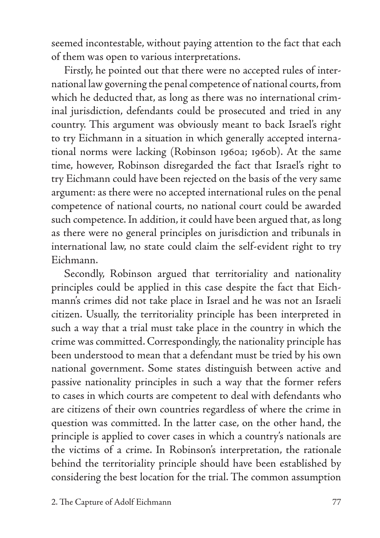seemed incontestable, without paying attention to the fact that each of them was open to various interpretations.

Firstly, he pointed out that there were no accepted rules of international law governing the penal competence of national courts, from which he deducted that, as long as there was no international criminal jurisdiction, defendants could be prosecuted and tried in any country. This argument was obviously meant to back Israel's right to try Eichmann in a situation in which generally accepted international norms were lacking (Robinson 1960a; 1960b). At the same time, however, Robinson disregarded the fact that Israel's right to try Eichmann could have been rejected on the basis of the very same argument: as there were no accepted international rules on the penal competence of national courts, no national court could be awarded such competence. In addition, it could have been argued that, as long as there were no general principles on jurisdiction and tribunals in international law, no state could claim the self-evident right to try Eichmann.

Secondly, Robinson argued that territoriality and nationality principles could be applied in this case despite the fact that Eichmann's crimes did not take place in Israel and he was not an Israeli citizen. Usually, the territoriality principle has been interpreted in such a way that a trial must take place in the country in which the crime was committed. Correspondingly, the nationality principle has been understood to mean that a defendant must be tried by his own national government. Some states distinguish between active and passive nationality principles in such a way that the former refers to cases in which courts are competent to deal with defendants who are citizens of their own countries regardless of where the crime in question was committed. In the latter case, on the other hand, the principle is applied to cover cases in which a country's nationals are the victims of a crime. In Robinson's interpretation, the rationale behind the territoriality principle should have been established by considering the best location for the trial. The common assumption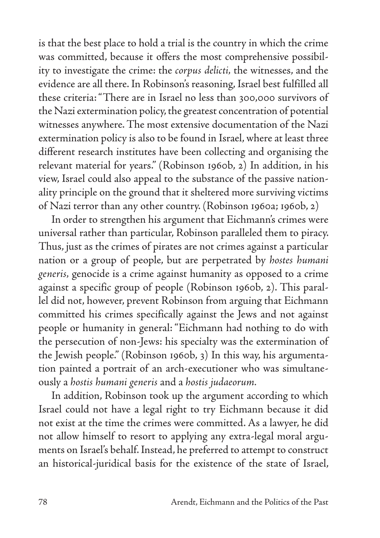is that the best place to hold a trial is the country in which the crime was committed, because it offers the most comprehensive possibility to investigate the crime: the *corpus delicti,* the witnesses, and the evidence are all there. In Robinson's reasoning, Israel best fulfilled all these criteria: "There are in Israel no less than 300,000 survivors of the Nazi extermination policy, the greatest concentration of potential witnesses anywhere. The most extensive documentation of the Nazi extermination policy is also to be found in Israel, where at least three different research institutes have been collecting and organising the relevant material for years." (Robinson 1960b, 2) In addition, in his view, Israel could also appeal to the substance of the passive nationality principle on the ground that it sheltered more surviving victims of Nazi terror than any other country. (Robinson 1960a; 1960b, 2)

In order to strengthen his argument that Eichmann's crimes were universal rather than particular, Robinson paralleled them to piracy. Thus, just as the crimes of pirates are not crimes against a particular nation or a group of people, but are perpetrated by *hostes humani generis,* genocide is a crime against humanity as opposed to a crime against a specific group of people (Robinson 1960b, 2). This parallel did not, however, prevent Robinson from arguing that Eichmann committed his crimes specifically against the Jews and not against people or humanity in general: "Eichmann had nothing to do with the persecution of non-Jews: his specialty was the extermination of the Jewish people." (Robinson 1960b, 3) In this way, his argumentation painted a portrait of an arch-executioner who was simultaneously a *hostis humani generis* and a *hostis judaeorum.*

In addition, Robinson took up the argument according to which Israel could not have a legal right to try Eichmann because it did not exist at the time the crimes were committed. As a lawyer, he did not allow himself to resort to applying any extra-legal moral arguments on Israel's behalf. Instead, he preferred to attempt to construct an historical-juridical basis for the existence of the state of Israel,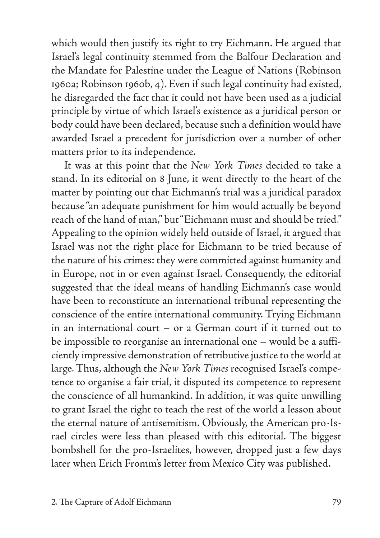which would then justify its right to try Eichmann. He argued that Israel's legal continuity stemmed from the Balfour Declaration and the Mandate for Palestine under the League of Nations (Robinson 1960a; Robinson 1960b, 4). Even if such legal continuity had existed, he disregarded the fact that it could not have been used as a judicial principle by virtue of which Israel's existence as a juridical person or body could have been declared, because such a definition would have awarded Israel a precedent for jurisdiction over a number of other matters prior to its independence.

It was at this point that the *New York Times* decided to take a stand. In its editorial on 8 June, it went directly to the heart of the matter by pointing out that Eichmann's trial was a juridical paradox because "an adequate punishment for him would actually be beyond reach of the hand of man," but "Eichmann must and should be tried." Appealing to the opinion widely held outside of Israel, it argued that Israel was not the right place for Eichmann to be tried because of the nature of his crimes: they were committed against humanity and in Europe, not in or even against Israel. Consequently, the editorial suggested that the ideal means of handling Eichmann's case would have been to reconstitute an international tribunal representing the conscience of the entire international community. Trying Eichmann in an international court – or a German court if it turned out to be impossible to reorganise an international one – would be a sufficiently impressive demonstration of retributive justice to the world at large. Thus, although the *New York Times* recognised Israel's competence to organise a fair trial, it disputed its competence to represent the conscience of all humankind. In addition, it was quite unwilling to grant Israel the right to teach the rest of the world a lesson about the eternal nature of antisemitism. Obviously, the American pro-Israel circles were less than pleased with this editorial. The biggest bombshell for the pro-Israelites, however, dropped just a few days later when Erich Fromm's letter from Mexico City was published.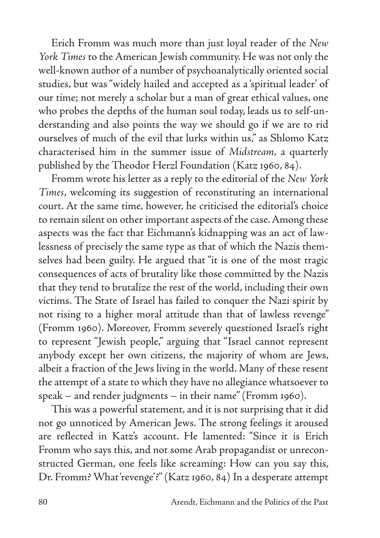Erich Fromm was much more than just loyal reader of the *New York Times* to the American Jewish community. He was not only the well-known author of a number of psychoanalytically oriented social studies, but was "widely hailed and accepted as a 'spiritual leader' of our time; not merely a scholar but a man of great ethical values, one who probes the depths of the human soul today, leads us to self-understanding and also points the way we should go if we are to rid ourselves of much of the evil that lurks within us," as Shlomo Katz characterised him in the summer issue of *Midstream,* a quarterly published by the Theodor Herzl Foundation (Katz 1960, 84).

Fromm wrote his letter as a reply to the editorial of the *New York Times*, welcoming its suggestion of reconstituting an international court. At the same time, however, he criticised the editorial's choice to remain silent on other important aspects of the case. Among these aspects was the fact that Eichmann's kidnapping was an act of lawlessness of precisely the same type as that of which the Nazis themselves had been guilty. He argued that "it is one of the most tragic consequences of acts of brutality like those committed by the Nazis that they tend to brutalize the rest of the world, including their own victims. The State of Israel has failed to conquer the Nazi spirit by not rising to a higher moral attitude than that of lawless revenge" (Fromm 1960). Moreover, Fromm severely questioned Israel's right to represent "Jewish people," arguing that "Israel cannot represent anybody except her own citizens, the majority of whom are Jews, albeit a fraction of the Jews living in the world. Many of these resent the attempt of a state to which they have no allegiance whatsoever to speak – and render judgments – in their name" (Fromm 1960).

This was a powerful statement, and it is not surprising that it did not go unnoticed by American Jews. The strong feelings it aroused are reflected in Katz's account. He lamented: "Since it is Erich Fromm who says this, and not some Arab propagandist or unreconstructed German, one feels like screaming: How can you say this, Dr. Fromm? What 'revenge'?" (Katz 1960, 84) In a desperate attempt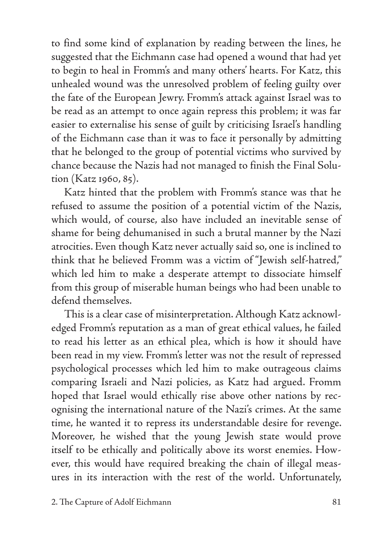to find some kind of explanation by reading between the lines, he suggested that the Eichmann case had opened a wound that had yet to begin to heal in Fromm's and many others' hearts. For Katz, this unhealed wound was the unresolved problem of feeling guilty over the fate of the European Jewry. Fromm's attack against Israel was to be read as an attempt to once again repress this problem; it was far easier to externalise his sense of guilt by criticising Israel's handling of the Eichmann case than it was to face it personally by admitting that he belonged to the group of potential victims who survived by chance because the Nazis had not managed to finish the Final Solution (Katz 1960, 85).

Katz hinted that the problem with Fromm's stance was that he refused to assume the position of a potential victim of the Nazis, which would, of course, also have included an inevitable sense of shame for being dehumanised in such a brutal manner by the Nazi atrocities. Even though Katz never actually said so, one is inclined to think that he believed Fromm was a victim of "Jewish self-hatred," which led him to make a desperate attempt to dissociate himself from this group of miserable human beings who had been unable to defend themselves.

This is a clear case of misinterpretation. Although Katz acknowledged Fromm's reputation as a man of great ethical values, he failed to read his letter as an ethical plea, which is how it should have been read in my view. Fromm's letter was not the result of repressed psychological processes which led him to make outrageous claims comparing Israeli and Nazi policies, as Katz had argued. Fromm hoped that Israel would ethically rise above other nations by recognising the international nature of the Nazi's crimes. At the same time, he wanted it to repress its understandable desire for revenge. Moreover, he wished that the young Jewish state would prove itself to be ethically and politically above its worst enemies. However, this would have required breaking the chain of illegal measures in its interaction with the rest of the world. Unfortunately,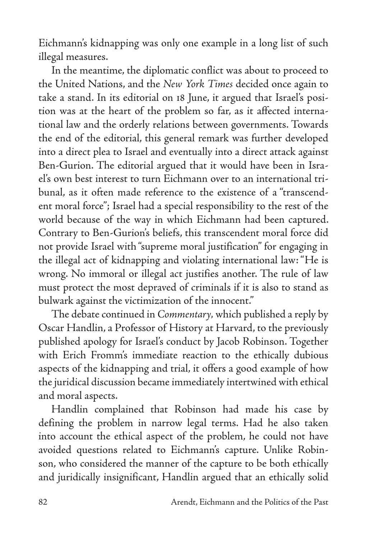Eichmann's kidnapping was only one example in a long list of such illegal measures.

In the meantime, the diplomatic conflict was about to proceed to the United Nations, and the *New York Times* decided once again to take a stand. In its editorial on 18 June, it argued that Israel's position was at the heart of the problem so far, as it affected international law and the orderly relations between governments. Towards the end of the editorial, this general remark was further developed into a direct plea to Israel and eventually into a direct attack against Ben-Gurion. The editorial argued that it would have been in Israel's own best interest to turn Eichmann over to an international tribunal, as it often made reference to the existence of a "transcendent moral force"; Israel had a special responsibility to the rest of the world because of the way in which Eichmann had been captured. Contrary to Ben-Gurion's beliefs, this transcendent moral force did not provide Israel with "supreme moral justification" for engaging in the illegal act of kidnapping and violating international law: "He is wrong. No immoral or illegal act justifies another. The rule of law must protect the most depraved of criminals if it is also to stand as bulwark against the victimization of the innocent."

The debate continued in *Commentary,* which published a reply by Oscar Handlin, a Professor of History at Harvard, to the previously published apology for Israel's conduct by Jacob Robinson. Together with Erich Fromm's immediate reaction to the ethically dubious aspects of the kidnapping and trial, it offers a good example of how the juridical discussion became immediately intertwined with ethical and moral aspects.

Handlin complained that Robinson had made his case by defining the problem in narrow legal terms. Had he also taken into account the ethical aspect of the problem, he could not have avoided questions related to Eichmann's capture. Unlike Robinson, who considered the manner of the capture to be both ethically and juridically insignificant, Handlin argued that an ethically solid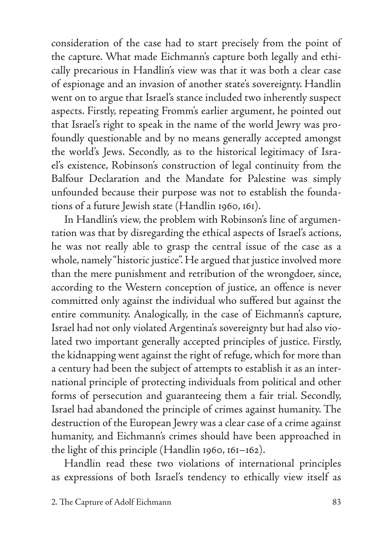consideration of the case had to start precisely from the point of the capture. What made Eichmann's capture both legally and ethically precarious in Handlin's view was that it was both a clear case of espionage and an invasion of another state's sovereignty. Handlin went on to argue that Israel's stance included two inherently suspect aspects. Firstly, repeating Fromm's earlier argument, he pointed out that Israel's right to speak in the name of the world Jewry was profoundly questionable and by no means generally accepted amongst the world's Jews. Secondly, as to the historical legitimacy of Israel's existence, Robinson's construction of legal continuity from the Balfour Declaration and the Mandate for Palestine was simply unfounded because their purpose was not to establish the foundations of a future Jewish state (Handlin 1960, 161).

In Handlin's view, the problem with Robinson's line of argumentation was that by disregarding the ethical aspects of Israel's actions, he was not really able to grasp the central issue of the case as a whole, namely "historic justice". He argued that justice involved more than the mere punishment and retribution of the wrongdoer, since, according to the Western conception of justice, an offence is never committed only against the individual who suffered but against the entire community. Analogically, in the case of Eichmann's capture, Israel had not only violated Argentina's sovereignty but had also violated two important generally accepted principles of justice. Firstly, the kidnapping went against the right of refuge, which for more than a century had been the subject of attempts to establish it as an international principle of protecting individuals from political and other forms of persecution and guaranteeing them a fair trial. Secondly, Israel had abandoned the principle of crimes against humanity. The destruction of the European Jewry was a clear case of a crime against humanity, and Eichmann's crimes should have been approached in the light of this principle (Handlin 1960, 161–162).

Handlin read these two violations of international principles as expressions of both Israel's tendency to ethically view itself as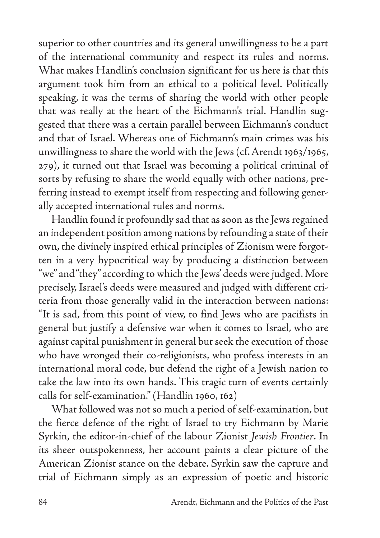superior to other countries and its general unwillingness to be a part of the international community and respect its rules and norms. What makes Handlin's conclusion significant for us here is that this argument took him from an ethical to a political level. Politically speaking, it was the terms of sharing the world with other people that was really at the heart of the Eichmann's trial. Handlin suggested that there was a certain parallel between Eichmann's conduct and that of Israel. Whereas one of Eichmann's main crimes was his unwillingness to share the world with the Jews (cf. Arendt 1963/1965, 279), it turned out that Israel was becoming a political criminal of sorts by refusing to share the world equally with other nations, preferring instead to exempt itself from respecting and following generally accepted international rules and norms.

Handlin found it profoundly sad that as soon as the Jews regained an independent position among nations by refounding a state of their own, the divinely inspired ethical principles of Zionism were forgotten in a very hypocritical way by producing a distinction between "we" and "they" according to which the Jews' deeds were judged. More precisely, Israel's deeds were measured and judged with different criteria from those generally valid in the interaction between nations: "It is sad, from this point of view, to find Jews who are pacifists in general but justify a defensive war when it comes to Israel, who are against capital punishment in general but seek the execution of those who have wronged their co-religionists, who profess interests in an international moral code, but defend the right of a Jewish nation to take the law into its own hands. This tragic turn of events certainly calls for self-examination." (Handlin 1960, 162)

What followed was not so much a period of self-examination, but the fierce defence of the right of Israel to try Eichmann by Marie Syrkin, the editor-in-chief of the labour Zionist *Jewish Frontier*. In its sheer outspokenness, her account paints a clear picture of the American Zionist stance on the debate. Syrkin saw the capture and trial of Eichmann simply as an expression of poetic and historic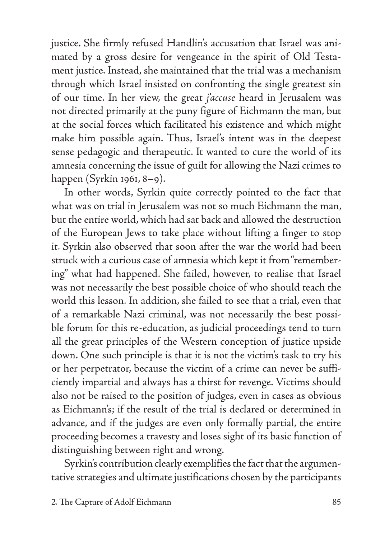justice. She firmly refused Handlin's accusation that Israel was animated by a gross desire for vengeance in the spirit of Old Testament justice. Instead, she maintained that the trial was a mechanism through which Israel insisted on confronting the single greatest sin of our time. In her view, the great *j'accuse* heard in Jerusalem was not directed primarily at the puny figure of Eichmann the man, but at the social forces which facilitated his existence and which might make him possible again. Thus, Israel's intent was in the deepest sense pedagogic and therapeutic. It wanted to cure the world of its amnesia concerning the issue of guilt for allowing the Nazi crimes to happen (Syrkin 1961, 8–9).

In other words, Syrkin quite correctly pointed to the fact that what was on trial in Jerusalem was not so much Eichmann the man, but the entire world, which had sat back and allowed the destruction of the European Jews to take place without lifting a finger to stop it. Syrkin also observed that soon after the war the world had been struck with a curious case of amnesia which kept it from "remembering" what had happened. She failed, however, to realise that Israel was not necessarily the best possible choice of who should teach the world this lesson. In addition, she failed to see that a trial, even that of a remarkable Nazi criminal, was not necessarily the best possible forum for this re-education, as judicial proceedings tend to turn all the great principles of the Western conception of justice upside down. One such principle is that it is not the victim's task to try his or her perpetrator, because the victim of a crime can never be sufficiently impartial and always has a thirst for revenge. Victims should also not be raised to the position of judges, even in cases as obvious as Eichmann's; if the result of the trial is declared or determined in advance, and if the judges are even only formally partial, the entire proceeding becomes a travesty and loses sight of its basic function of distinguishing between right and wrong.

Syrkin's contribution clearly exemplifies the fact that the argumentative strategies and ultimate justifications chosen by the participants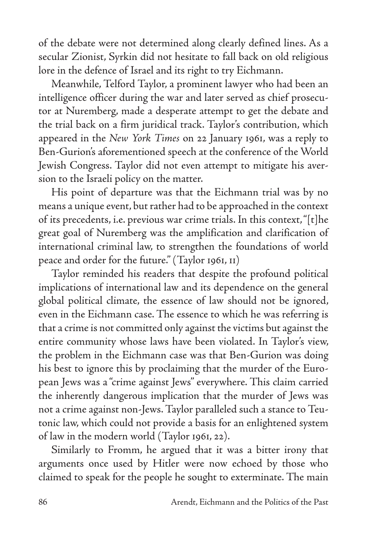of the debate were not determined along clearly defined lines. As a secular Zionist, Syrkin did not hesitate to fall back on old religious lore in the defence of Israel and its right to try Eichmann.

Meanwhile, Telford Taylor, a prominent lawyer who had been an intelligence officer during the war and later served as chief prosecutor at Nuremberg, made a desperate attempt to get the debate and the trial back on a firm juridical track. Taylor's contribution, which appeared in the *New York Times* on 22 January 1961, was a reply to Ben-Gurion's aforementioned speech at the conference of the World Jewish Congress. Taylor did not even attempt to mitigate his aversion to the Israeli policy on the matter.

His point of departure was that the Eichmann trial was by no means a unique event, but rather had to be approached in the context of its precedents, i.e. previous war crime trials. In this context, "[t]he great goal of Nuremberg was the amplification and clarification of international criminal law, to strengthen the foundations of world peace and order for the future." (Taylor 1961, 11)

Taylor reminded his readers that despite the profound political implications of international law and its dependence on the general global political climate, the essence of law should not be ignored, even in the Eichmann case. The essence to which he was referring is that a crime is not committed only against the victims but against the entire community whose laws have been violated. In Taylor's view, the problem in the Eichmann case was that Ben-Gurion was doing his best to ignore this by proclaiming that the murder of the European Jews was a "crime against Jews" everywhere. This claim carried the inherently dangerous implication that the murder of Jews was not a crime against non-Jews. Taylor paralleled such a stance to Teutonic law, which could not provide a basis for an enlightened system of law in the modern world (Taylor 1961, 22).

Similarly to Fromm, he argued that it was a bitter irony that arguments once used by Hitler were now echoed by those who claimed to speak for the people he sought to exterminate. The main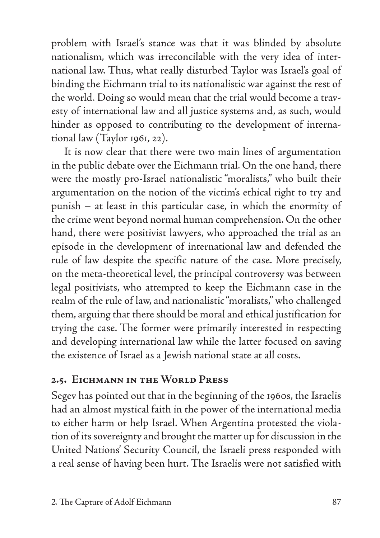problem with Israel's stance was that it was blinded by absolute nationalism, which was irreconcilable with the very idea of international law. Thus, what really disturbed Taylor was Israel's goal of binding the Eichmann trial to its nationalistic war against the rest of the world. Doing so would mean that the trial would become a travesty of international law and all justice systems and, as such, would hinder as opposed to contributing to the development of international law (Taylor 1961, 22).

It is now clear that there were two main lines of argumentation in the public debate over the Eichmann trial. On the one hand, there were the mostly pro-Israel nationalistic "moralists," who built their argumentation on the notion of the victim's ethical right to try and punish – at least in this particular case, in which the enormity of the crime went beyond normal human comprehension. On the other hand, there were positivist lawyers, who approached the trial as an episode in the development of international law and defended the rule of law despite the specific nature of the case. More precisely, on the meta-theoretical level, the principal controversy was between legal positivists, who attempted to keep the Eichmann case in the realm of the rule of law, and nationalistic "moralists," who challenged them, arguing that there should be moral and ethical justification for trying the case. The former were primarily interested in respecting and developing international law while the latter focused on saving the existence of Israel as a Jewish national state at all costs.

#### **2.5. Eichmann in the World Press**

Segev has pointed out that in the beginning of the 1960s, the Israelis had an almost mystical faith in the power of the international media to either harm or help Israel. When Argentina protested the violation of its sovereignty and brought the matter up for discussion in the United Nations' Security Council, the Israeli press responded with a real sense of having been hurt. The Israelis were not satisfied with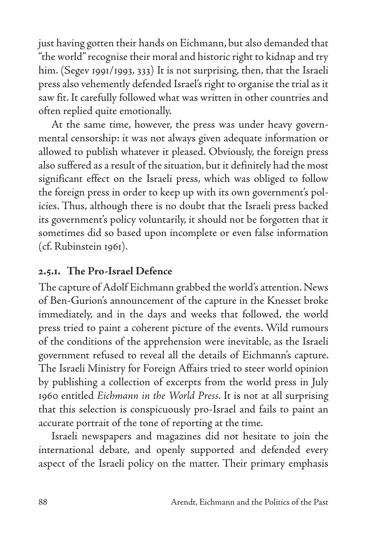just having gotten their hands on Eichmann, but also demanded that "the world" recognise their moral and historic right to kidnap and try him. (Segev 1991/1993, 333) It is not surprising, then, that the Israeli press also vehemently defended Israel's right to organise the trial as it saw fit. It carefully followed what was written in other countries and often replied quite emotionally.

At the same time, however, the press was under heavy governmental censorship: it was not always given adequate information or allowed to publish whatever it pleased. Obviously, the foreign press also suffered as a result of the situation, but it definitely had the most significant effect on the Israeli press, which was obliged to follow the foreign press in order to keep up with its own government's policies. Thus, although there is no doubt that the Israeli press backed its government's policy voluntarily, it should not be forgotten that it sometimes did so based upon incomplete or even false information (cf. Rubinstein 1961).

### **2.5.1. The Pro-Israel Defence**

The capture of Adolf Eichmann grabbed the world's attention. News of Ben-Gurion's announcement of the capture in the Knesset broke immediately, and in the days and weeks that followed, the world press tried to paint a coherent picture of the events. Wild rumours of the conditions of the apprehension were inevitable, as the Israeli government refused to reveal all the details of Eichmann's capture. The Israeli Ministry for Foreign Affairs tried to steer world opinion by publishing a collection of excerpts from the world press in July 1960 entitled *Eichmann in the World Press*. It is not at all surprising that this selection is conspicuously pro-Israel and fails to paint an accurate portrait of the tone of reporting at the time.

Israeli newspapers and magazines did not hesitate to join the international debate, and openly supported and defended every aspect of the Israeli policy on the matter. Their primary emphasis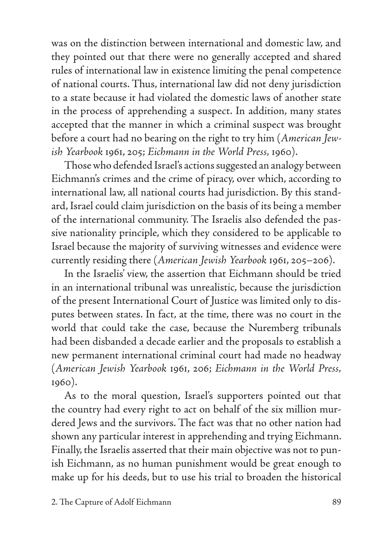was on the distinction between international and domestic law, and they pointed out that there were no generally accepted and shared rules of international law in existence limiting the penal competence of national courts. Thus, international law did not deny jurisdiction to a state because it had violated the domestic laws of another state in the process of apprehending a suspect. In addition, many states accepted that the manner in which a criminal suspect was brought before a court had no bearing on the right to try him (*American Jewish Yearbook* 1961, 205; *Eichmann in the World Press,* 1960).

Those who defended Israel's actions suggested an analogy between Eichmann's crimes and the crime of piracy, over which, according to international law, all national courts had jurisdiction. By this standard, Israel could claim jurisdiction on the basis of its being a member of the international community. The Israelis also defended the passive nationality principle, which they considered to be applicable to Israel because the majority of surviving witnesses and evidence were currently residing there (*American Jewish Yearbook* 1961, 205–206).

In the Israelis' view, the assertion that Eichmann should be tried in an international tribunal was unrealistic, because the jurisdiction of the present International Court of Justice was limited only to disputes between states. In fact, at the time, there was no court in the world that could take the case, because the Nuremberg tribunals had been disbanded a decade earlier and the proposals to establish a new permanent international criminal court had made no headway (*American Jewish Yearbook* 1961, 206; *Eichmann in the World Press,* 1960).

As to the moral question, Israel's supporters pointed out that the country had every right to act on behalf of the six million murdered Jews and the survivors. The fact was that no other nation had shown any particular interest in apprehending and trying Eichmann. Finally, the Israelis asserted that their main objective was not to punish Eichmann, as no human punishment would be great enough to make up for his deeds, but to use his trial to broaden the historical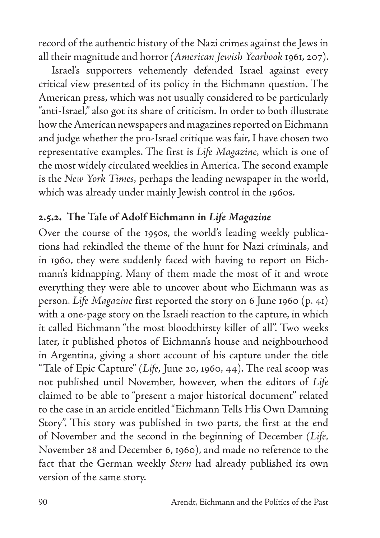record of the authentic history of the Nazi crimes against the Jews in all their magnitude and horror *(American Jewish Yearbook* 1961*,* 207).

Israel's supporters vehemently defended Israel against every critical view presented of its policy in the Eichmann question. The American press, which was not usually considered to be particularly "anti-Israel," also got its share of criticism. In order to both illustrate how the American newspapers and magazines reported on Eichmann and judge whether the pro-Israel critique was fair, I have chosen two representative examples. The first is *Life Magazine,* which is one of the most widely circulated weeklies in America. The second example is the *New York Times,* perhaps the leading newspaper in the world, which was already under mainly Jewish control in the 1960s.

### **2.5.2. The Tale of Adolf Eichmann in** *Life Magazine*

Over the course of the 1950s, the world's leading weekly publications had rekindled the theme of the hunt for Nazi criminals, and in 1960, they were suddenly faced with having to report on Eichmann's kidnapping. Many of them made the most of it and wrote everything they were able to uncover about who Eichmann was as person. *Life Magazine* first reported the story on 6 June 1960 (p. 41) with a one-page story on the Israeli reaction to the capture, in which it called Eichmann "the most bloodthirsty killer of all". Two weeks later, it published photos of Eichmann's house and neighbourhood in Argentina, giving a short account of his capture under the title "Tale of Epic Capture" *(Life,* June 20, 1960, 44). The real scoop was not published until November, however, when the editors of *Life*  claimed to be able to "present a major historical document" related to the case in an article entitled "Eichmann Tells His Own Damning Story". This story was published in two parts, the first at the end of November and the second in the beginning of December *(Life,*  November 28 and December 6, 1960), and made no reference to the fact that the German weekly *Stern* had already published its own version of the same story.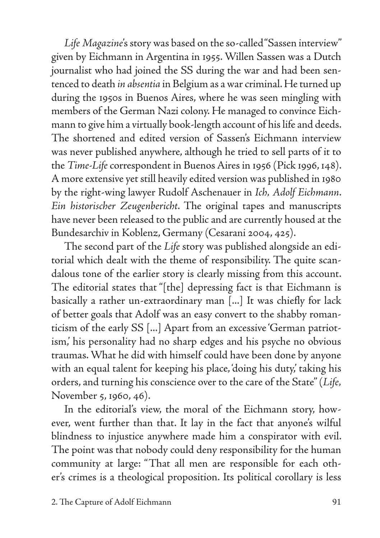*Life Magazine*'s story was based on the so-called "Sassen interview" given by Eichmann in Argentina in 1955. Willen Sassen was a Dutch journalist who had joined the SS during the war and had been sentenced to death *in absentia* in Belgium as a war criminal. He turned up during the 1950s in Buenos Aires, where he was seen mingling with members of the German Nazi colony. He managed to convince Eichmann to give him a virtually book-length account of his life and deeds. The shortened and edited version of Sassen's Eichmann interview was never published anywhere, although he tried to sell parts of it to the *Time-Life* correspondent in Buenos Aires in 1956 (Pick 1996, 148). A more extensive yet still heavily edited version was published in 1980 by the right-wing lawyer Rudolf Aschenauer in *Ich, Adolf Eichmann*. *Ein historischer Zeugenbericht*. The original tapes and manuscripts have never been released to the public and are currently housed at the Bundesarchiv in Koblenz, Germany (Cesarani 2004, 425).

The second part of the *Life* story was published alongside an editorial which dealt with the theme of responsibility. The quite scandalous tone of the earlier story is clearly missing from this account. The editorial states that "[the] depressing fact is that Eichmann is basically a rather un-extraordinary man [...] It was chiefly for lack of better goals that Adolf was an easy convert to the shabby romanticism of the early SS [...] Apart from an excessive 'German patriotism,' his personality had no sharp edges and his psyche no obvious traumas. What he did with himself could have been done by anyone with an equal talent for keeping his place, doing his duty, taking his orders, and turning his conscience over to the care of the State" (*Life,* November 5, 1960, 46).

In the editorial's view, the moral of the Eichmann story, however, went further than that. It lay in the fact that anyone's wilful blindness to injustice anywhere made him a conspirator with evil. The point was that nobody could deny responsibility for the human community at large: "That all men are responsible for each other's crimes is a theological proposition. Its political corollary is less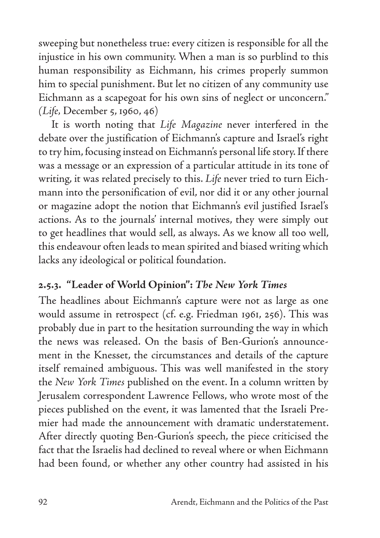sweeping but nonetheless true: every citizen is responsible for all the injustice in his own community. When a man is so purblind to this human responsibility as Eichmann, his crimes properly summon him to special punishment. But let no citizen of any community use Eichmann as a scapegoat for his own sins of neglect or unconcern." *(Life,* December 5, 1960, 46)

It is worth noting that *Life Magazine* never interfered in the debate over the justification of Eichmann's capture and Israel's right to try him, focusing instead on Eichmann's personal life story. If there was a message or an expression of a particular attitude in its tone of writing, it was related precisely to this. *Life* never tried to turn Eichmann into the personification of evil, nor did it or any other journal or magazine adopt the notion that Eichmann's evil justified Israel's actions. As to the journals' internal motives, they were simply out to get headlines that would sell, as always. As we know all too well, this endeavour often leads to mean spirited and biased writing which lacks any ideological or political foundation.

## **2.5.3. "Leader of World Opinion":** *The New York Times*

The headlines about Eichmann's capture were not as large as one would assume in retrospect (cf. e.g. Friedman 1961, 256). This was probably due in part to the hesitation surrounding the way in which the news was released. On the basis of Ben-Gurion's announcement in the Knesset, the circumstances and details of the capture itself remained ambiguous. This was well manifested in the story the *New York Times* published on the event. In a column written by Jerusalem correspondent Lawrence Fellows, who wrote most of the pieces published on the event, it was lamented that the Israeli Premier had made the announcement with dramatic understatement. After directly quoting Ben-Gurion's speech, the piece criticised the fact that the Israelis had declined to reveal where or when Eichmann had been found, or whether any other country had assisted in his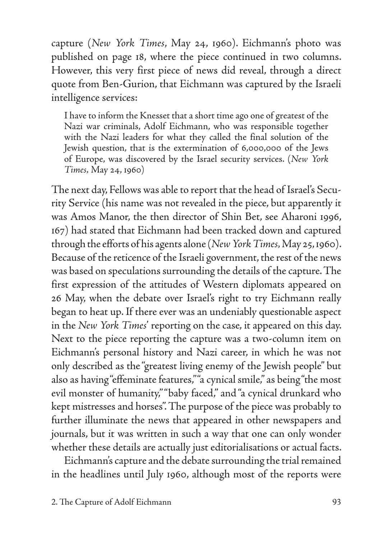capture (*New York Times*, May 24, 1960). Eichmann's photo was published on page 18, where the piece continued in two columns. However, this very first piece of news did reveal, through a direct quote from Ben-Gurion, that Eichmann was captured by the Israeli intelligence services:

I have to inform the Knesset that a short time ago one of greatest of the Nazi war criminals, Adolf Eichmann, who was responsible together with the Nazi leaders for what they called the final solution of the Jewish question, that is the extermination of 6,000,000 of the Jews of Europe, was discovered by the Israel security services. (*New York Times,* May 24, 1960)

The next day, Fellows was able to report that the head of Israel's Security Service (his name was not revealed in the piece, but apparently it was Amos Manor, the then director of Shin Bet, see Aharoni 1996, 167) had stated that Eichmann had been tracked down and captured through the efforts of his agents alone (*New York Times,* May 25, 1960). Because of the reticence of the Israeli government, the rest of the news was based on speculations surrounding the details of the capture. The first expression of the attitudes of Western diplomats appeared on 26 May, when the debate over Israel's right to try Eichmann really began to heat up. If there ever was an undeniably questionable aspect in the *New York Times*' reporting on the case, it appeared on this day. Next to the piece reporting the capture was a two-column item on Eichmann's personal history and Nazi career, in which he was not only described as the "greatest living enemy of the Jewish people'' but also as having "effeminate features," "a cynical smile," as being "the most evil monster of humanity," "baby faced," and "a cynical drunkard who kept mistresses and horses". The purpose of the piece was probably to further illuminate the news that appeared in other newspapers and journals, but it was written in such a way that one can only wonder whether these details are actually just editorialisations or actual facts.

Eichmann's capture and the debate surrounding the trial remained in the headlines until July 1960, although most of the reports were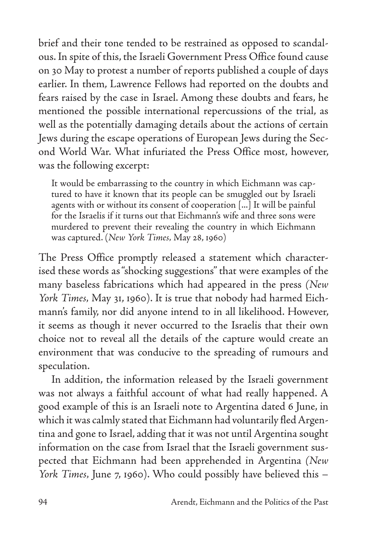brief and their tone tended to be restrained as opposed to scandalous. In spite of this, the Israeli Government Press Office found cause on 30 May to protest a number of reports published a couple of days earlier. In them, Lawrence Fellows had reported on the doubts and fears raised by the case in Israel. Among these doubts and fears, he mentioned the possible international repercussions of the trial, as well as the potentially damaging details about the actions of certain Jews during the escape operations of European Jews during the Second World War. What infuriated the Press Office most, however, was the following excerpt:

It would be embarrassing to the country in which Eichmann was captured to have it known that its people can be smuggled out by Israeli agents with or without its consent of cooperation [...] It will be painful for the Israelis if it turns out that Eichmann's wife and three sons were murdered to prevent their revealing the country in which Eichmann was captured. (*New York Times,* May 28, 1960)

The Press Office promptly released a statement which characterised these words as "shocking suggestions" that were examples of the many baseless fabrications which had appeared in the press *(New York Times,* May 31, 1960). It is true that nobody had harmed Eichmann's family, nor did anyone intend to in all likelihood. However, it seems as though it never occurred to the Israelis that their own choice not to reveal all the details of the capture would create an environment that was conducive to the spreading of rumours and speculation.

In addition, the information released by the Israeli government was not always a faithful account of what had really happened. A good example of this is an Israeli note to Argentina dated 6 June, in which it was calmly stated that Eichmann had voluntarily fled Argentina and gone to Israel, adding that it was not until Argentina sought information on the case from Israel that the Israeli government suspected that Eichmann had been apprehended in Argentina *(New York Times,* June 7, 1960). Who could possibly have believed this –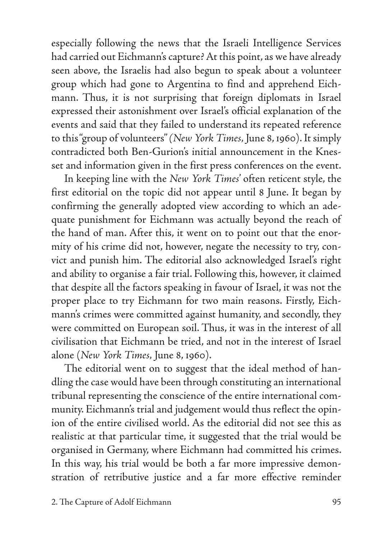especially following the news that the Israeli Intelligence Services had carried out Eichmann's capture? At this point, as we have already seen above, the Israelis had also begun to speak about a volunteer group which had gone to Argentina to find and apprehend Eichmann. Thus, it is not surprising that foreign diplomats in Israel expressed their astonishment over Israel's official explanation of the events and said that they failed to understand its repeated reference to this "group of volunteers" *(New York Times,* June 8, 1960). It simply contradicted both Ben-Gurion's initial announcement in the Knesset and information given in the first press conferences on the event.

In keeping line with the *New York Times*' often reticent style, the first editorial on the topic did not appear until 8 June. It began by confirming the generally adopted view according to which an adequate punishment for Eichmann was actually beyond the reach of the hand of man. After this, it went on to point out that the enormity of his crime did not, however, negate the necessity to try, convict and punish him. The editorial also acknowledged Israel's right and ability to organise a fair trial. Following this, however, it claimed that despite all the factors speaking in favour of Israel, it was not the proper place to try Eichmann for two main reasons. Firstly, Eichmann's crimes were committed against humanity, and secondly, they were committed on European soil. Thus, it was in the interest of all civilisation that Eichmann be tried, and not in the interest of Israel alone (*New York Times,* June 8, 1960).

The editorial went on to suggest that the ideal method of handling the case would have been through constituting an international tribunal representing the conscience of the entire international community. Eichmann's trial and judgement would thus reflect the opinion of the entire civilised world. As the editorial did not see this as realistic at that particular time, it suggested that the trial would be organised in Germany, where Eichmann had committed his crimes. In this way, his trial would be both a far more impressive demonstration of retributive justice and a far more effective reminder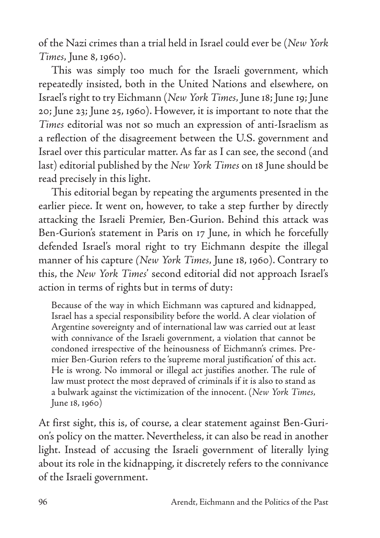of the Nazi crimes than a trial held in Israel could ever be (*New York Times,* June 8, 1960).

This was simply too much for the Israeli government, which repeatedly insisted, both in the United Nations and elsewhere, on Israel's right to try Eichmann (*New York Times,* June 18; June 19; June 20; June 23; June 25, 1960). However, it is important to note that the *Times* editorial was not so much an expression of anti-Israelism as a reflection of the disagreement between the U.S. government and Israel over this particular matter. As far as I can see, the second (and last) editorial published by the *New York Times* on 18 June should be read precisely in this light.

This editorial began by repeating the arguments presented in the earlier piece. It went on, however, to take a step further by directly attacking the Israeli Premier, Ben-Gurion. Behind this attack was Ben-Gurion's statement in Paris on 17 June, in which he forcefully defended Israel's moral right to try Eichmann despite the illegal manner of his capture *(New York Times,* June 18, 1960). Contrary to this, the *New York Times*' second editorial did not approach Israel's action in terms of rights but in terms of duty:

Because of the way in which Eichmann was captured and kidnapped, Israel has a special responsibility before the world. A clear violation of Argentine sovereignty and of international law was carried out at least with connivance of the Israeli government, a violation that cannot be condoned irrespective of the heinousness of Eichmann's crimes. Premier Ben-Gurion refers to the 'supreme moral justification' of this act. He is wrong. No immoral or illegal act justifies another. The rule of law must protect the most depraved of criminals if it is also to stand as a bulwark against the victimization of the innocent. (*New York Times,* June 18, 1960)

At first sight, this is, of course, a clear statement against Ben-Gurion's policy on the matter. Nevertheless, it can also be read in another light. Instead of accusing the Israeli government of literally lying about its role in the kidnapping, it discretely refers to the connivance of the Israeli government.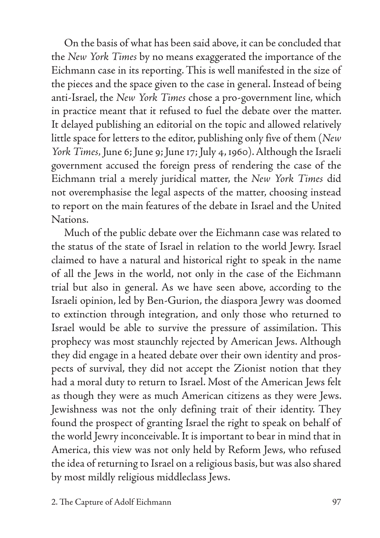On the basis of what has been said above, it can be concluded that the *New York Times* by no means exaggerated the importance of the Eichmann case in its reporting. This is well manifested in the size of the pieces and the space given to the case in general. Instead of being anti-Israel, the *New York Times* chose a pro-government line, which in practice meant that it refused to fuel the debate over the matter. It delayed publishing an editorial on the topic and allowed relatively little space for letters to the editor, publishing only five of them (*New York Times,* June 6; June 9; June 17; July 4, 1960). Although the Israeli government accused the foreign press of rendering the case of the Eichmann trial a merely juridical matter, the *New York Times* did not overemphasise the legal aspects of the matter, choosing instead to report on the main features of the debate in Israel and the United Nations.

Much of the public debate over the Eichmann case was related to the status of the state of Israel in relation to the world Jewry. Israel claimed to have a natural and historical right to speak in the name of all the Jews in the world, not only in the case of the Eichmann trial but also in general. As we have seen above, according to the Israeli opinion, led by Ben-Gurion, the diaspora Jewry was doomed to extinction through integration, and only those who returned to Israel would be able to survive the pressure of assimilation. This prophecy was most staunchly rejected by American Jews. Although they did engage in a heated debate over their own identity and prospects of survival, they did not accept the Zionist notion that they had a moral duty to return to Israel. Most of the American Jews felt as though they were as much American citizens as they were Jews. Jewishness was not the only defining trait of their identity. They found the prospect of granting Israel the right to speak on behalf of the world Jewry inconceivable. It is important to bear in mind that in America, this view was not only held by Reform Jews, who refused the idea of returning to Israel on a religious basis, but was also shared by most mildly religious middleclass Jews.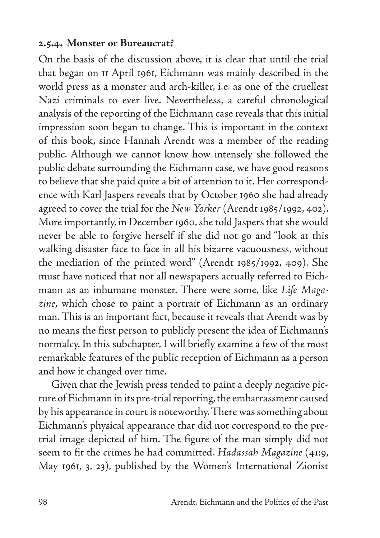#### **2.5.4. Monster or Bureaucrat?**

On the basis of the discussion above, it is clear that until the trial that began on 11 April 1961, Eichmann was mainly described in the world press as a monster and arch-killer, i.e. as one of the cruellest Nazi criminals to ever live. Nevertheless, a careful chronological analysis of the reporting of the Eichmann case reveals that this initial impression soon began to change. This is important in the context of this book, since Hannah Arendt was a member of the reading public. Although we cannot know how intensely she followed the public debate surrounding the Eichmann case, we have good reasons to believe that she paid quite a bit of attention to it. Her correspondence with Karl Jaspers reveals that by October 1960 she had already agreed to cover the trial for the *New Yorker* (Arendt 1985/1992, 402). More importantly, in December 1960, she told Jaspers that she would never be able to forgive herself if she did not go and "look at this walking disaster face to face in all his bizarre vacuousness, without the mediation of the printed word" (Arendt 1985/1992, 409). She must have noticed that not all newspapers actually referred to Eichmann as an inhumane monster. There were some, like *Life Magazine,* which chose to paint a portrait of Eichmann as an ordinary man. This is an important fact, because it reveals that Arendt was by no means the first person to publicly present the idea of Eichmann's normalcy. In this subchapter, I will briefly examine a few of the most remarkable features of the public reception of Eichmann as a person and how it changed over time.

Given that the Jewish press tended to paint a deeply negative picture of Eichmann in its pre-trial reporting, the embarrassment caused by his appearance in court is noteworthy. There was something about Eichmann's physical appearance that did not correspond to the pretrial image depicted of him. The figure of the man simply did not seem to fit the crimes he had committed. *Hadassah Magazine* (41:9, May 1961, 3, 23), published by the Women's International Zionist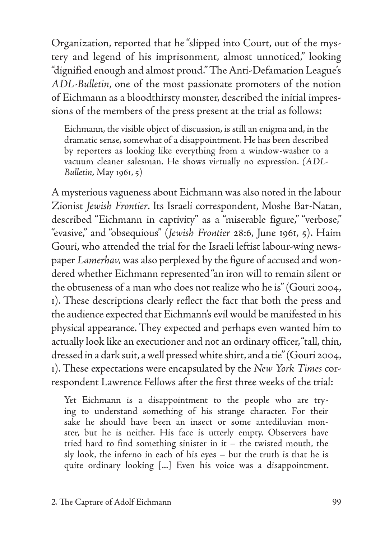Organization, reported that he "slipped into Court, out of the mystery and legend of his imprisonment, almost unnoticed," looking "dignified enough and almost proud." The Anti-Defamation League's *ADL-Bulletin*, one of the most passionate promoters of the notion of Eichmann as a bloodthirsty monster, described the initial impressions of the members of the press present at the trial as follows:

Eichmann, the visible object of discussion, is still an enigma and, in the dramatic sense, somewhat of a disappointment. He has been described by reporters as looking like everything from a window-washer to a vacuum cleaner salesman. He shows virtually no expression. *(ADL-Bulletin,* May 1961, 5)

A mysterious vagueness about Eichmann was also noted in the labour Zionist *Jewish Frontier*. Its Israeli correspondent, Moshe Bar-Natan, described "Eichmann in captivity" as a "miserable figure," "verbose," "evasive," and "obsequious" (*Jewish Frontier* 28:6, June 1961, 5). Haim Gouri, who attended the trial for the Israeli leftist labour-wing newspaper *Lamerhav,* was also perplexed by the figure of accused and wondered whether Eichmann represented "an iron will to remain silent or the obtuseness of a man who does not realize who he is" (Gouri 2004, 1). These descriptions clearly reflect the fact that both the press and the audience expected that Eichmann's evil would be manifested in his physical appearance. They expected and perhaps even wanted him to actually look like an executioner and not an ordinary officer, "tall, thin, dressed in a dark suit, a well pressed white shirt, and a tie" (Gouri 2004, 1). These expectations were encapsulated by the *New York Times* correspondent Lawrence Fellows after the first three weeks of the trial:

Yet Eichmann is a disappointment to the people who are trying to understand something of his strange character. For their sake he should have been an insect or some antediluvian monster, but he is neither. His face is utterly empty. Observers have tried hard to find something sinister in it – the twisted mouth, the sly look, the inferno in each of his eyes – but the truth is that he is quite ordinary looking [...] Even his voice was a disappointment.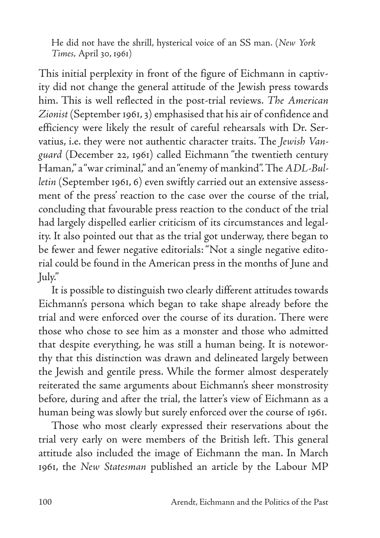He did not have the shrill, hysterical voice of an SS man. (*New York Times,* April 30, 1961)

This initial perplexity in front of the figure of Eichmann in captivity did not change the general attitude of the Jewish press towards him. This is well reflected in the post-trial reviews. *The American Zionist* (September 1961, 3) emphasised that his air of confidence and efficiency were likely the result of careful rehearsals with Dr. Servatius, i.e. they were not authentic character traits. The *Jewish Vanguard* (December 22, 1961) called Eichmann "the twentieth century Haman," a "war criminal," and an "enemy of mankind". The *ADL-Bulletin* (September 1961, 6) even swiftly carried out an extensive assessment of the press' reaction to the case over the course of the trial, concluding that favourable press reaction to the conduct of the trial had largely dispelled earlier criticism of its circumstances and legality. It also pointed out that as the trial got underway, there began to be fewer and fewer negative editorials: "Not a single negative editorial could be found in the American press in the months of June and July."

It is possible to distinguish two clearly different attitudes towards Eichmann's persona which began to take shape already before the trial and were enforced over the course of its duration. There were those who chose to see him as a monster and those who admitted that despite everything, he was still a human being. It is noteworthy that this distinction was drawn and delineated largely between the Jewish and gentile press. While the former almost desperately reiterated the same arguments about Eichmann's sheer monstrosity before, during and after the trial, the latter's view of Eichmann as a human being was slowly but surely enforced over the course of 1961.

Those who most clearly expressed their reservations about the trial very early on were members of the British left. This general attitude also included the image of Eichmann the man. In March 1961, the *New Statesman* published an article by the Labour MP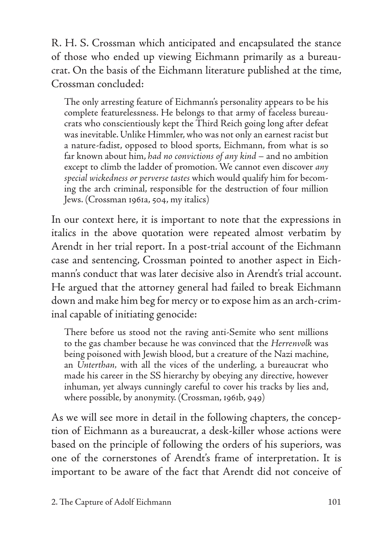R. H. S. Crossman which anticipated and encapsulated the stance of those who ended up viewing Eichmann primarily as a bureaucrat. On the basis of the Eichmann literature published at the time, Crossman concluded:

The only arresting feature of Eichmann's personality appears to be his complete featurelessness. He belongs to that army of faceless bureaucrats who conscientiously kept the Third Reich going long after defeat was inevitable. Unlike Himmler, who was not only an earnest racist but a nature-fadist, opposed to blood sports, Eichmann, from what is so far known about him, *had no convictions of any kind* – and no ambition except to climb the ladder of promotion. We cannot even discover *any special wickedness or perverse tastes* which would qualify him for becoming the arch criminal, responsible for the destruction of four million Jews. (Crossman 1961a, 504, my italics)

In our context here, it is important to note that the expressions in italics in the above quotation were repeated almost verbatim by Arendt in her trial report. In a post-trial account of the Eichmann case and sentencing, Crossman pointed to another aspect in Eichmann's conduct that was later decisive also in Arendt's trial account. He argued that the attorney general had failed to break Eichmann down and make him beg for mercy or to expose him as an arch-criminal capable of initiating genocide:

There before us stood not the raving anti-Semite who sent millions to the gas chamber because he was convinced that the *Herrenvolk* was being poisoned with Jewish blood, but a creature of the Nazi machine, an *Unterthan,* with all the vices of the underling, a bureaucrat who made his career in the SS hierarchy by obeying any directive, however inhuman, yet always cunningly careful to cover his tracks by lies and, where possible, by anonymity. (Crossman, 1961b, 949)

As we will see more in detail in the following chapters, the conception of Eichmann as a bureaucrat, a desk-killer whose actions were based on the principle of following the orders of his superiors, was one of the cornerstones of Arendt's frame of interpretation. It is important to be aware of the fact that Arendt did not conceive of